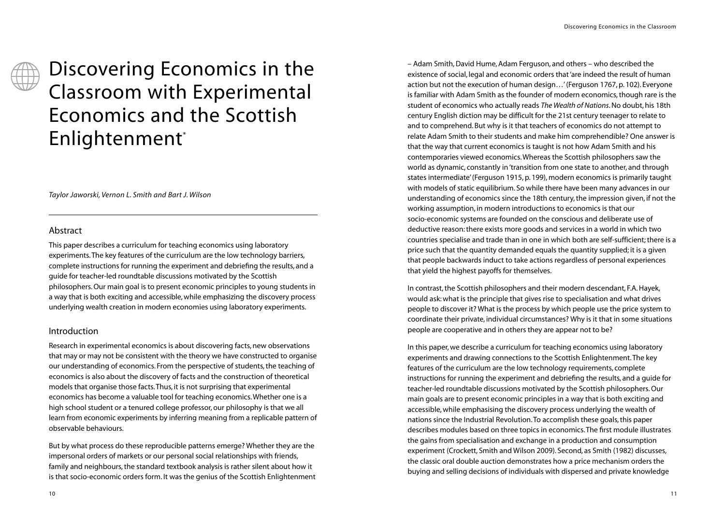

# Discovering Economics in the Classroom with Experimental Economics and the Scottish Enlightenment\*

*Taylor Jaworski, Vernon L. Smith and Bart J. Wilson*

#### Abstract

This paper describes a curriculum for teaching economics using laboratory experiments.The key features of the curriculum are the low technology barriers, complete instructions for running the experiment and debriefing the results, and a guide for teacher-led roundtable discussions motivated by the Scottish philosophers. Our main goal is to present economic principles to young students in a way that is both exciting and accessible, while emphasizing the discovery process underlying wealth creation in modern economies using laboratory experiments.

# Introduction

Research in experimental economics is about discovering facts, new observations that may or may not be consistent with the theory we have constructed to organise our understanding of economics. From the perspective of students, the teaching of economics is also about the discovery of facts and the construction of theoretical models that organise those facts.Thus, it is not surprising that experimental economics has become a valuable tool for teaching economics.Whether one is a high school student or a tenured college professor, our philosophy is that we all learn from economic experiments by inferring meaning from a replicable pattern of observable behaviours.

But by what process do these reproducible patterns emerge? Whether they are the impersonal orders of markets or our personal social relationships with friends, family and neighbours, the standard textbook analysis is rather silent about how it is that socio-economic orders form. It was the genius of the Scottish Enlightenment

– Adam Smith, David Hume, Adam Ferguson, and others – who described the existence of social, legal and economic orders that 'are indeed the result of human action but not the execution of human design…' (Ferguson 1767, p. 102). Everyone is familiar with Adam Smith as the founder of modern economics, though rare is the student of economics who actually reads *The Wealth of Nations*. No doubt, his 18th century English diction may be difficult for the 21st century teenager to relate to and to comprehend. But why is it that teachers of economics do not attempt to relate Adam Smith to their students and make him comprehendible? One answer is that the way that current economics is taught is not how Adam Smith and his contemporaries viewed economics.Whereas the Scottish philosophers saw the world as dynamic, constantly in 'transition from one state to another, and through states intermediate' (Ferguson 1915, p. 199), modern economics is primarily taught with models of static equilibrium. So while there have been many advances in our understanding of economics since the 18th century, the impression given, if not the working assumption, in modern introductions to economics is that our socio-economic systems are founded on the conscious and deliberate use of deductive reason: there exists more goods and services in a world in which two countries specialise and trade than in one in which both are self-sufficient; there is a price such that the quantity demanded equals the quantity supplied; it is a given that people backwards induct to take actions regardless of personal experiences that yield the highest payoffs for themselves.

In contrast, the Scottish philosophers and their modern descendant, F.A. Hayek, would ask: what is the principle that gives rise to specialisation and what drives people to discover it? What is the process by which people use the price system to coordinate their private, individual circumstances? Why is it that in some situations people are cooperative and in others they are appear not to be?

In this paper, we describe a curriculum for teaching economics using laboratory experiments and drawing connections to the Scottish Enlightenment.The key features of the curriculum are the low technology requirements, complete instructions for running the experiment and debriefing the results, and a guide for teacher-led roundtable discussions motivated by the Scottish philosophers. Our main goals are to present economic principles in a way that is both exciting and accessible, while emphasising the discovery process underlying the wealth of nations since the Industrial Revolution.To accomplish these goals, this paper describes modules based on three topics in economics.The first module illustrates the gains from specialisation and exchange in a production and consumption experiment (Crockett, Smith and Wilson 2009). Second, as Smith (1982) discusses, the classic oral double auction demonstrates how a price mechanism orders the buying and selling decisions of individuals with dispersed and private knowledge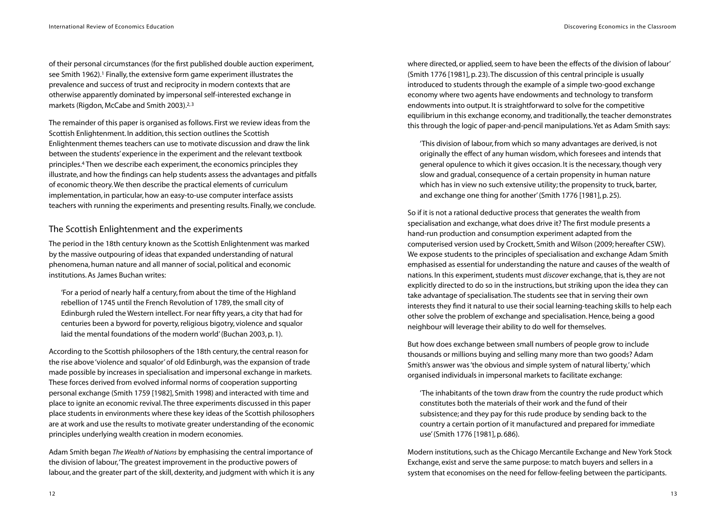of their personal circumstances (for the first published double auction experiment, see Smith 1962).1 Finally, the extensive form game experiment illustrates the prevalence and success of trust and reciprocity in modern contexts that are otherwise apparently dominated by impersonal self-interested exchange in markets (Rigdon, McCabe and Smith 2003).<sup>2,3</sup>

The remainder of this paper is organised as follows. First we review ideas from the Scottish Enlightenment. In addition, this section outlines the Scottish Enlightenment themes teachers can use to motivate discussion and draw the link between the students' experience in the experiment and the relevant textbook principles.4 Then we describe each experiment, the economics principles they illustrate, and how the findings can help students assess the advantages and pitfalls of economic theory.We then describe the practical elements of curriculum implementation, in particular, how an easy-to-use computer interface assists teachers with running the experiments and presenting results. Finally, we conclude.

# The Scottish Enlightenment and the experiments

The period in the 18th century known as the Scottish Enlightenment was marked by the massive outpouring of ideas that expanded understanding of natural phenomena, human nature and all manner of social, political and economic institutions. As James Buchan writes:

'For a period of nearly half a century, from about the time of the Highland rebellion of 1745 until the French Revolution of 1789, the small city of Edinburgh ruled the Western intellect. For near fifty years, a city that had for centuries been a byword for poverty, religious bigotry, violence and squalor laid the mental foundations of the modern world' (Buchan 2003, p. 1).

According to the Scottish philosophers of the 18th century, the central reason for the rise above 'violence and squalor' of old Edinburgh, was the expansion of trade made possible by increases in specialisation and impersonal exchange in markets. These forces derived from evolved informal norms of cooperation supporting personal exchange (Smith 1759 [1982], Smith 1998) and interacted with time and place to ignite an economic revival.The three experiments discussed in this paper place students in environments where these key ideas of the Scottish philosophers are at work and use the results to motivate greater understanding of the economic principles underlying wealth creation in modern economies.

Adam Smith began *The Wealth of Nations* by emphasising the central importance of the division of labour,'The greatest improvement in the productive powers of labour, and the greater part of the skill, dexterity, and judgment with which it is any where directed, or applied, seem to have been the effects of the division of labour' (Smith 1776 [1981], p. 23).The discussion of this central principle is usually introduced to students through the example of a simple two-good exchange economy where two agents have endowments and technology to transform endowments into output. It is straightforward to solve for the competitive equilibrium in this exchange economy, and traditionally, the teacher demonstrates this through the logic of paper-and-pencil manipulations.Yet as Adam Smith says:

'This division of labour, from which so many advantages are derived, is not originally the effect of any human wisdom, which foresees and intends that general opulence to which it gives occasion. It is the necessary, though very slow and gradual, consequence of a certain propensity in human nature which has in view no such extensive utility; the propensity to truck, barter, and exchange one thing for another' (Smith 1776 [1981], p. 25).

So if it is not a rational deductive process that generates the wealth from specialisation and exchange, what does drive it? The first module presents a hand-run production and consumption experiment adapted from the computerised version used by Crockett, Smith and Wilson (2009; hereafter CSW). We expose students to the principles of specialisation and exchange Adam Smith emphasised as essential for understanding the nature and causes of the wealth of nations. In this experiment, students must *discover* exchange, that is, they are not explicitly directed to do so in the instructions, but striking upon the idea they can take advantage of specialisation.The students see that in serving their own interests they find it natural to use their social learning-teaching skills to help each other solve the problem of exchange and specialisation. Hence, being a good neighbour will leverage their ability to do well for themselves.

But how does exchange between small numbers of people grow to include thousands or millions buying and selling many more than two goods? Adam Smith's answer was 'the obvious and simple system of natural liberty,' which organised individuals in impersonal markets to facilitate exchange:

'The inhabitants of the town draw from the country the rude product which constitutes both the materials of their work and the fund of their subsistence; and they pay for this rude produce by sending back to the country a certain portion of it manufactured and prepared for immediate use' (Smith 1776 [1981], p. 686).

Modern institutions, such as the Chicago Mercantile Exchange and New York Stock Exchange, exist and serve the same purpose: to match buyers and sellers in a system that economises on the need for fellow-feeling between the participants.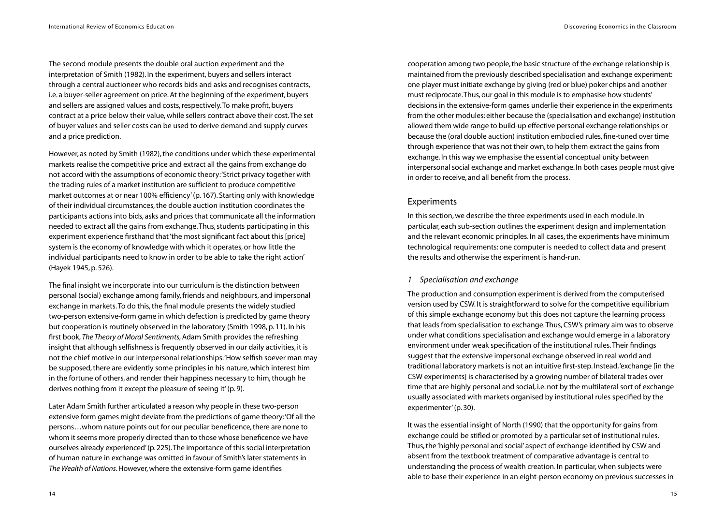The second module presents the double oral auction experiment and the interpretation of Smith (1982). In the experiment, buyers and sellers interact through a central auctioneer who records bids and asks and recognises contracts, i.e. a buyer-seller agreement on price. At the beginning of the experiment, buyers and sellers are assigned values and costs, respectively.To make profit, buyers contract at a price below their value, while sellers contract above their cost.The set of buyer values and seller costs can be used to derive demand and supply curves and a price prediction.

However, as noted by Smith (1982), the conditions under which these experimental markets realise the competitive price and extract all the gains from exchange do not accord with the assumptions of economic theory:'Strict privacy together with the trading rules of a market institution are sufficient to produce competitive market outcomes at or near 100% efficiency' (p. 167). Starting only with knowledge of their individual circumstances, the double auction institution coordinates the participants actions into bids, asks and prices that communicate all the information needed to extract all the gains from exchange.Thus, students participating in this experiment experience firsthand that 'the most significant fact about this [price] system is the economy of knowledge with which it operates, or how little the individual participants need to know in order to be able to take the right action' (Hayek 1945, p. 526).

The final insight we incorporate into our curriculum is the distinction between personal (social) exchange among family, friends and neighbours, and impersonal exchange in markets.To do this, the final module presents the widely studied two-person extensive-form game in which defection is predicted by game theory but cooperation is routinely observed in the laboratory (Smith 1998, p. 11). In his first book, *The Theory of Moral Sentiments*, Adam Smith provides the refreshing insight that although selfishness is frequently observed in our daily activities, it is not the chief motive in our interpersonal relationships:'How selfish soever man may be supposed, there are evidently some principles in his nature, which interest him in the fortune of others, and render their happiness necessary to him, though he derives nothing from it except the pleasure of seeing it' (p. 9).

Later Adam Smith further articulated a reason why people in these two-person extensive form games might deviate from the predictions of game theory:'Of all the persons…whom nature points out for our peculiar beneficence, there are none to whom it seems more properly directed than to those whose beneficence we have ourselves already experienced' (p. 225).The importance of this social interpretation of human nature in exchange was omitted in favour of Smith's later statements in *The Wealth of Nations*. However, where the extensive-form game identifies

cooperation among two people, the basic structure of the exchange relationship is maintained from the previously described specialisation and exchange experiment: one player must initiate exchange by giving (red or blue) poker chips and another must reciprocate.Thus, our goal in this module is to emphasise how students' decisions in the extensive-form games underlie their experience in the experiments from the other modules: either because the (specialisation and exchange) institution allowed them wide range to build-up effective personal exchange relationships or because the (oral double auction) institution embodied rules, fine-tuned over time through experience that was not their own, to help them extract the gains from exchange. In this way we emphasise the essential conceptual unity between interpersonal social exchange and market exchange. In both cases people must give in order to receive, and all benefit from the process.

# Experiments

In this section, we describe the three experiments used in each module. In particular, each sub-section outlines the experiment design and implementation and the relevant economic principles. In all cases, the experiments have minimum technological requirements: one computer is needed to collect data and present the results and otherwise the experiment is hand-run.

# *1 Specialisation and exchange*

The production and consumption experiment is derived from the computerised version used by CSW. It is straightforward to solve for the competitive equilibrium of this simple exchange economy but this does not capture the learning process that leads from specialisation to exchange.Thus, CSW's primary aim was to observe under what conditions specialisation and exchange would emerge in a laboratory environment under weak specification of the institutional rules.Their findings suggest that the extensive impersonal exchange observed in real world and traditional laboratory markets is not an intuitive first-step. Instead,'exchange [in the CSW experiments] is characterised by a growing number of bilateral trades over time that are highly personal and social, i.e. not by the multilateral sort of exchange usually associated with markets organised by institutional rules specified by the experimenter' (p. 30).

It was the essential insight of North (1990) that the opportunity for gains from exchange could be stifled or promoted by a particular set of institutional rules. Thus, the 'highly personal and social' aspect of exchange identified by CSW and absent from the textbook treatment of comparative advantage is central to understanding the process of wealth creation. In particular, when subjects were able to base their experience in an eight-person economy on previous successes in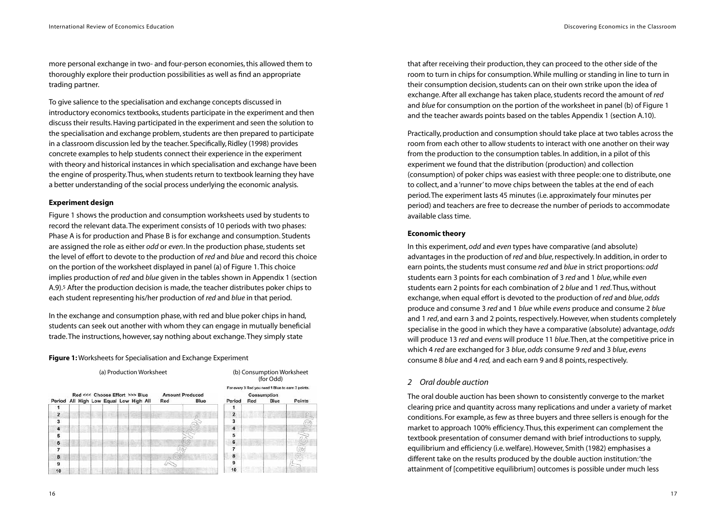more personal exchange in two- and four-person economies, this allowed them to thoroughly explore their production possibilities as well as find an appropriate trading partner.

To give salience to the specialisation and exchange concepts discussed in introductory economics textbooks, students participate in the experiment and then discuss their results. Having participated in the experiment and seen the solution to the specialisation and exchange problem, students are then prepared to participate in a classroom discussion led by the teacher. Specifically, Ridley (1998) provides concrete examples to help students connect their experience in the experiment with theory and historical instances in which specialisation and exchange have been the engine of prosperity.Thus, when students return to textbook learning they have a better understanding of the social process underlying the economic analysis.

#### **Experiment design**

Figure 1 shows the production and consumption worksheets used by students to record the relevant data.The experiment consists of 10 periods with two phases: Phase A is for production and Phase B is for exchange and consumption. Students are assigned the role as either *odd* or *even*. In the production phase, students set the level of effort to devote to the production of *red* and *blue* and record this choice on the portion of the worksheet displayed in panel (a) of Figure 1.This choice implies production of *red* and *blue* given in the tables shown in Appendix 1 (section A.9).5 After the production decision is made, the teacher distributes poker chips to each student representing his/her production of *red* and *blue* in that period.

In the exchange and consumption phase, with red and blue poker chips in hand, students can seek out another with whom they can engage in mutually beneficial trade.The instructions, however, say nothing about exchange.They simply state

**Figure 1:** Worksheets for Specialisation and Exchange Experiment



(a) Production Worksheet (b) Consumption Worksheet (for Odd)For every 3 Red you need 1 Blue to earn 3 points. Consumption Period Red Blue Points **B**  $\overline{\mathbf{2}}$  $\overline{\mathbf{3}}$ 间  $\overline{\mathbf{4}}$  $\overline{\phantom{a}}$  $\epsilon$  $\overline{7}$  $(95)$  $\overline{\mathbf{8}}$ 9  $10<sup>10</sup>$ 

that after receiving their production, they can proceed to the other side of the room to turn in chips for consumption.While mulling or standing in line to turn in their consumption decision, students can on their own strike upon the idea of exchange. After all exchange has taken place, students record the amount of *red* and *blue* for consumption on the portion of the worksheet in panel (b) of Figure 1 and the teacher awards points based on the tables Appendix 1 (section A.10).

Practically, production and consumption should take place at two tables across the room from each other to allow students to interact with one another on their way from the production to the consumption tables. In addition, in a pilot of this experiment we found that the distribution (production) and collection (consumption) of poker chips was easiest with three people: one to distribute, one to collect, and a 'runner' to move chips between the tables at the end of each period.The experiment lasts 45 minutes (i.e. approximately four minutes per period) and teachers are free to decrease the number of periods to accommodate available class time.

#### **Economic theory**

In this experiment, *odd* and *even* types have comparative (and absolute) advantages in the production of *red* and *blue*,respectively. In addition, in order to earn points, the students must consume *red* and *blue* in strict proportions: *odd* students earn 3 points for each combination of 3 *red* and 1 *blue*,while *even* students earn 2 points for each combination of 2 *blue* and 1 *red*.Thus, without exchange, when equal effort is devoted to the production of *red* and *blue*, *odds* produce and consume 3 *red* and 1 *blue* while *evens* produce and consume 2 *blue* and 1 *red*, and earn 3 and 2 points, respectively. However, when students completely specialise in the good in which they have a comparative (absolute) advantage, *odds* will produce 13 *red* and *evens* will produce 11 *blue*.Then, at the competitive price in which 4 *red* are exchanged for 3 *blue*, *odds* consume 9 *red* and 3 *blue*, *evens* consume 8 *blue* and 4 *red,* and each earn 9 and 8 points, respectively.

## *2 Oral double auction*

The oral double auction has been shown to consistently converge to the market clearing price and quantity across many replications and under a variety of market conditions. For example, as few as three buyers and three sellers is enough for the market to approach 100% efficiency.Thus, this experiment can complement the textbook presentation of consumer demand with brief introductions to supply, equilibrium and efficiency (i.e. welfare). However, Smith (1982) emphasises a different take on the results produced by the double auction institution:'the attainment of [competitive equilibrium] outcomes is possible under much less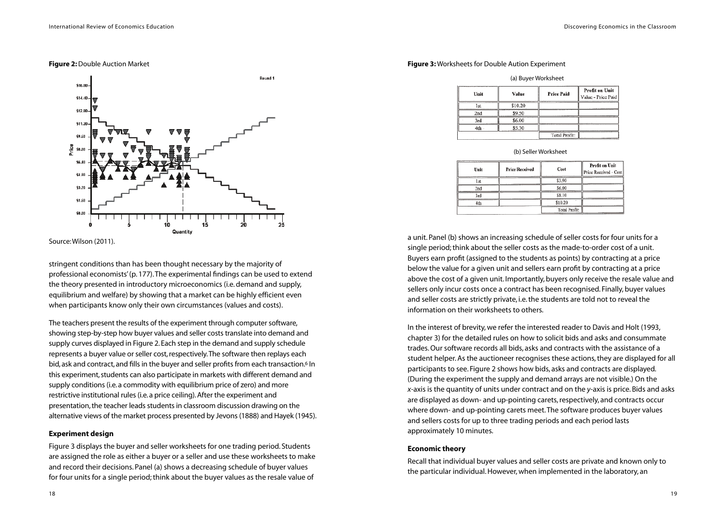## **Figure 2 Double Auction Market \_\_\_\_\_\_\_\_\_\_\_\_ \_\_\_\_\_ Figure 2:**Double Auction Market



 $\mathcal{L} = \{ \mathcal{L} \}$ Source: Wilson (2011).

stringent conditions than has been thought necessary by the majority of professional economists' (p. 177).The experimental findings can be used to extend the theory presented in introductory microeconomics (i.e. demand and supply, equilibrium and welfare) by showing that a market can be highly efficient even when participants know only their own circumstances (values and costs).

The teachers present the results of the experiment through computer software, showing step-by-step how buyer values and seller costs translate into demand and supply curves displayed in Figure 2. Each step in the demand and supply schedule represents a buyer value or seller cost, respectively.The software then replays each bid, ask and contract, and fills in the buyer and seller profits from each transaction.<sup>6</sup> In this experiment, students can also participate in markets with different demand and supply conditions (i.e. a commodity with equilibrium price of zero) and more restrictive institutional rules (i.e. a price ceiling). After the experiment and presentation, the teacher leads students in classroom discussion drawing on the alternative views of the market process presented by Jevons (1888) and Hayek (1945).

#### **Experiment design**

Figure 3 displays the buyer and seller worksheets for one trading period. Students are assigned the role as either a buyer or a seller and use these worksheets to make and record their decisions. Panel (a) shows a decreasing schedule of buyer values for four units for a single period; think about the buyer values as the resale value of

#### **Figure 3:** Worksheets for Double Aution Experiment

| (a) Buyer Worksheet |  |
|---------------------|--|

| Unit | Value   | <b>Price Paid</b>    | <b>Profit on Unit</b><br>Value - Price Paid |
|------|---------|----------------------|---------------------------------------------|
|      | \$10.20 |                      |                                             |
| 2nd  | \$9.50  |                      |                                             |
| 3rd  | \$6.00  |                      |                                             |
| 4th  | \$5.30  |                      |                                             |
|      |         | <b>Total Profit:</b> |                                             |

(b) Seller Worksheet

| Unit | <b>Price Received</b> | Cost          | Profit on Unit<br>Price Received - Cost |
|------|-----------------------|---------------|-----------------------------------------|
| l st |                       | \$3.90        |                                         |
| 2nd  |                       | \$6.00        |                                         |
| 3rd  |                       | \$8.10        |                                         |
| 4th  |                       | \$10.20       |                                         |
|      |                       | Total Profit: |                                         |

a unit. Panel (b) shows an increasing schedule of seller costs for four units for a single period; think about the seller costs as the made-to-order cost of a unit. Buyers earn profit (assigned to the students as points) by contracting at a price below the value for a given unit and sellers earn profit by contracting at a price above the cost of a given unit.Importantly, buyers only receive the resale value and sellers only incur costs once a contract has been recognised. Finally, buyer values and seller costs are strictly private, i.e. the students are told not to reveal the information on their worksheets to others.

In the interest of brevity, we refer the interested reader to Davis and Holt (1993, chapter 3) for the detailed rules on how to solicit bids and asks and consummate 15 trades. Our software records all bids, asks and contracts with the assistance of a student helper. As the auctioneer recognises these actions, they are displayed for all participants to see. Figure 2 shows how bids, asks and contracts are displayed. (During the experiment the supply and demand arrays are not visible.) On the 15 *x*-axis is the quantity of units under contract and on the *y*-axis is price. Bids and asks are displayed as down- and up-pointing carets, respectively, and contracts occur where down- and up-pointing carets meet.The software produces buyer values and sellers costs for up to three trading periods and each period lasts approximately 10 minutes.

#### **Economic theory**

Recall that individual buyer values and seller costs are private and known only to the particular individual. However, when implemented in the laboratory, an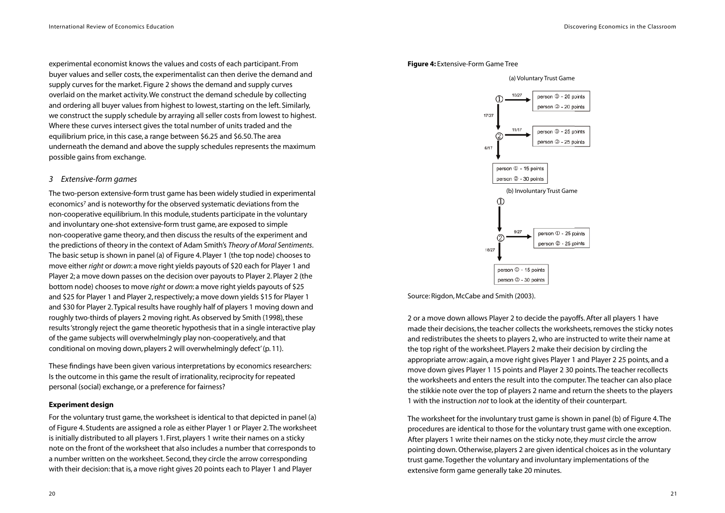experimental economist knows the values and costs of each participant. From buyer values and seller costs, the experimentalist can then derive the demand and supply curves for the market. Figure 2 shows the demand and supply curves overlaid on the market activity.We construct the demand schedule by collecting and ordering all buyer values from highest to lowest, starting on the left. Similarly, we construct the supply schedule by arraying all seller costs from lowest to highest. Where these curves intersect gives the total number of units traded and the equilibrium price, in this case, a range between \$6.25 and \$6.50.The area underneath the demand and above the supply schedules represents the maximum possible gains from exchange.

#### *3 Extensive-form games*

The two-person extensive-form trust game has been widely studied in experimental economics7 and is noteworthy for the observed systematic deviations from the non-cooperative equilibrium. In this module, students participate in the voluntary and involuntary one-shot extensive-form trust game, are exposed to simple non-cooperative game theory, and then discuss the results of the experiment and the predictions of theory in the context of Adam Smith's *Theory of Moral Sentiments*. The basic setup is shown in panel (a) of Figure 4. Player 1 (the top node) chooses to move either *right* or *down*: a move right yields payouts of \$20 each for Player 1 and Player 2; a move down passes on the decision over payouts to Player 2. Player 2 (the bottom node) chooses to move *right* or *down*: a move right yields payouts of \$25 and \$25 for Player 1 and Player 2, respectively; a move down yields \$15 for Player 1 and \$30 for Player 2.Typical results have roughly half of players 1 moving down and roughly two-thirds of players 2 moving right. As observed by Smith (1998), these results 'strongly reject the game theoretic hypothesis that in a single interactive play of the game subjects will overwhelmingly play non-cooperatively, and that conditional on moving down, players 2 will overwhelmingly defect' (p. 11).

These findings have been given various interpretations by economics researchers: Is the outcome in this game the result of irrationality, reciprocity for repeated personal (social) exchange, or a preference for fairness?

#### **Experiment design**

For the voluntary trust game, the worksheet is identical to that depicted in panel (a) of Figure 4. Students are assigned a role as either Player 1 or Player 2.The worksheet is initially distributed to all players 1. First, players 1 write their names on a sticky note on the front of the worksheet that also includes a number that corresponds to a number written on the worksheet. Second, they circle the arrow corresponding with their decision:that is, a move right gives 20 points each to Player 1 and Player

#### **Figure 4:** Extensive-Form Game Tree



**\_\_\_\_\_\_\_\_\_\_\_\_\_\_\_\_\_\_\_\_\_\_\_\_\_\_\_\_\_\_\_\_\_\_\_\_\_\_\_\_\_\_\_\_\_\_\_\_\_\_\_\_\_\_\_\_\_\_\_\_\_\_\_\_\_\_** Source: Rigdon, McCabe and Smith (2003). Source: Rigdon, McCabe, and Smith (2003).

2 or a move down allows Player 2 to decide the payoffs. After all players 1 have made their decisions, the teacher collects the worksheets, removes the sticky notes and redistributes the sheets to players 2, who are instructed to write their name at the top right of the worksheet. Players 2 make their decision by circling the **Appendix 1: Software instructions** appropriate arrow: again, a move right gives Player 1 and Player 2 25 points, and a move down gives Player 1 15 points and Player 2 30 points.The teacher recollects the worksheets and enters the result into the computer. The teacher can also place the stikkie note over the top of players 2 name and return the sheets to the players 1 with the instruction *not* to look at the identity of their counterpart. **Derson**  $\overline{\omega}$  **- 30 points**<br>
(b) Involuntary Trust Game<br>  $\overline{\omega}$ <br>  $\overline{\omega}$ <br>  $\overline{\omega}$ <br> **Person**  $\overline{\omega}$  - 25 points<br> **Person**  $\overline{\omega}$  - 25 points<br> **Person**  $\overline{\omega}$  - 26 points<br> **Person**  $\overline{\omega}$  - 26 points<br> **Person** 

The worksheet for the involuntary trust game is shown in panel (b) of Figure 4.The 16 procedures are identical to those for the voluntary trust game with one exception. After players 1 write their names on the sticky note, they *must* circle the arrow pointing down. Otherwise, players 2 are given identical choices as in the voluntary trust game.Together the voluntary and involuntary implementations of the extensive form game generally take 20 minutes.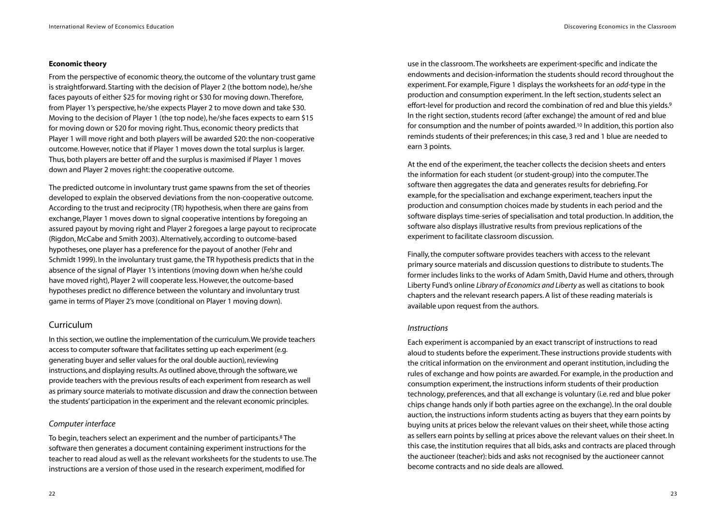#### **Economic theory**

From the perspective of economic theory, the outcome of the voluntary trust game is straightforward. Starting with the decision of Player 2 (the bottom node), he/she faces payouts of either \$25 for moving right or \$30 for moving down.Therefore, from Player 1's perspective, he/she expects Player 2 to move down and take \$30. Moving to the decision of Player 1 (the top node), he/she faces expects to earn \$15 for moving down or \$20 for moving right.Thus, economic theory predicts that Player 1 will move right and both players will be awarded \$20: the non-cooperative outcome. However, notice that if Player 1 moves down the total surplus is larger. Thus, both players are better off and the surplus is maximised if Player 1 moves down and Player 2 moves right: the cooperative outcome.

The predicted outcome in involuntary trust game spawns from the set of theories developed to explain the observed deviations from the non-cooperative outcome. According to the trust and reciprocity (TR) hypothesis, when there are gains from exchange, Player 1 moves down to signal cooperative intentions by foregoing an assured payout by moving right and Player 2 foregoes a large payout to reciprocate (Rigdon, McCabe and Smith 2003). Alternatively, according to outcome-based hypotheses, one player has a preference for the payout of another (Fehr and Schmidt 1999). In the involuntary trust game, the TR hypothesis predicts that in the absence of the signal of Player 1's intentions (moving down when he/she could have moved right), Player 2 will cooperate less. However, the outcome-based hypotheses predict no difference between the voluntary and involuntary trust game in terms of Player 2's move (conditional on Player 1 moving down).

# Curriculum

In this section, we outline the implementation of the curriculum.We provide teachers access to computer software that facilitates setting up each experiment (e.g. generating buyer and seller values for the oral double auction), reviewing instructions, and displaying results. As outlined above, through the software, we provide teachers with the previous results of each experiment from research as well as primary source materials to motivate discussion and draw the connection between the students'participation in the experiment and the relevant economic principles.

## *Computer interface*

To begin, teachers select an experiment and the number of participants.8 The software then generates a document containing experiment instructions for the teacher to read aloud as well as the relevant worksheets for the students to use.The instructions are a version of those used in the research experiment, modified for

use in the classroom.The worksheets are experiment-specific and indicate the endowments and decision-information the students should record throughout the experiment. For example, Figure 1 displays the worksheets for an *odd*-type in the production and consumption experiment. In the left section, students select an effort-level for production and record the combination of red and blue this yields.9 In the right section, students record (after exchange) the amount of red and blue for consumption and the number of points awarded.10 In addition, this portion also reminds students of their preferences; in this case, 3 red and 1 blue are needed to earn 3 points.

At the end of the experiment, the teacher collects the decision sheets and enters the information for each student (or student-group) into the computer.The software then aggregates the data and generates results for debriefing. For example, for the specialisation and exchange experiment, teachers input the production and consumption choices made by students in each period and the software displays time-series of specialisation and total production. In addition, the software also displays illustrative results from previous replications of the experiment to facilitate classroom discussion.

Finally, the computer software provides teachers with access to the relevant primary source materials and discussion questions to distribute to students.The former includes links to the works of Adam Smith, David Hume and others, through Liberty Fund's online *Library of Economics and Liberty* as well as citations to book chapters and the relevant research papers. A list of these reading materials is available upon request from the authors.

## *Instructions*

Each experiment is accompanied by an exact transcript of instructions to read aloud to students before the experiment.These instructions provide students with the critical information on the environment and operant institution, including the rules of exchange and how points are awarded. For example, in the production and consumption experiment, the instructions inform students of their production technology, preferences, and that all exchange is voluntary (i.e. red and blue poker chips change hands only if both parties agree on the exchange). In the oral double auction, the instructions inform students acting as buyers that they earn points by buying units at prices below the relevant values on their sheet, while those acting as sellers earn points by selling at prices above the relevant values on their sheet. In this case, the institution requires that all bids, asks and contracts are placed through the auctioneer (teacher): bids and asks not recognised by the auctioneer cannot become contracts and no side deals are allowed.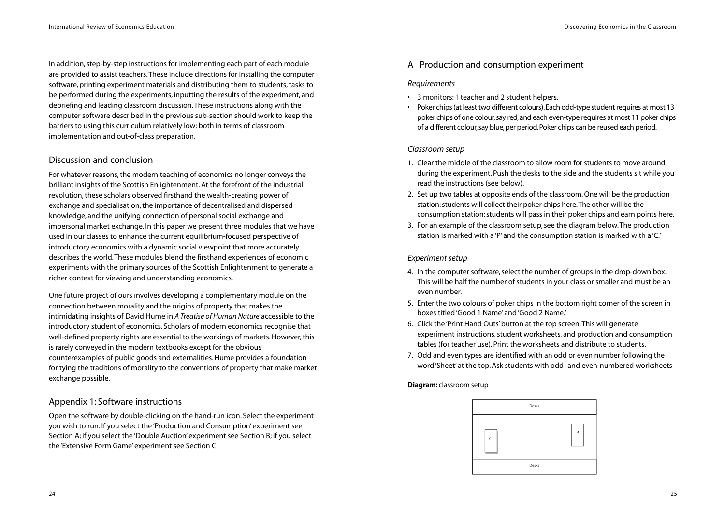In addition, step-by-step instructions for implementing each part of each module are provided to assist teachers.These include directions for installing the computer software, printing experiment materials and distributing them to students, tasks to be performed during the experiments, inputting the results of the experiment, and debriefing and leading classroom discussion.These instructions along with the computer software described in the previous sub-section should work to keep the barriers to using this curriculum relatively low: both in terms of classroom implementation and out-of-class preparation.

# Discussion and conclusion

For whatever reasons, the modern teaching of economics no longer conveys the brilliant insights of the Scottish Enlightenment. At the forefront of the industrial revolution, these scholars observed firsthand the wealth-creating power of exchange and specialisation, the importance of decentralised and dispersed knowledge, and the unifying connection of personal social exchange and impersonal market exchange. In this paper we present three modules that we have used in our classes to enhance the current equilibrium-focused perspective of introductory economics with a dynamic social viewpoint that more accurately describes the world.These modules blend the firsthand experiences of economic experiments with the primary sources of the Scottish Enlightenment to generate a richer context for viewing and understanding economics.

One future project of ours involves developing a complementary module on the connection between morality and the origins of property that makes the intimidating insights of David Hume in *A Treatise of Human Nature* accessible to the introductory student of economics. Scholars of modern economics recognise that well-defined property rights are essential to the workings of markets. However, this is rarely conveyed in the modern textbooks except for the obvious counterexamples of public goods and externalities. Hume provides a foundation for tying the traditions of morality to the conventions of property that make market exchange possible.

# Appendix 1: Software instructions

Open the software by double-clicking on the hand-run icon. Select the experiment you wish to run. If you select the 'Production and Consumption' experiment see Section A; if you select the 'Double Auction' experiment see Section B; if you select the 'Extensive Form Game' experiment see Section C.

# A Production and consumption experiment

# *Requirements*

- 3 monitors: 1 teacher and 2 student helpers.
- Poker chips (at least two different colours).Each odd-type student requires at most 13 poker chips of one colour,say red,and each even-type requires at most 11 poker chips of a different colour,say blue,per period.Poker chips can be reused each period.

# *Classroom setup*

- 1. Clear the middle of the classroom to allow room for students to move around during the experiment. Push the desks to the side and the students sit while you read the instructions (see below).
- 2. Set up two tables at opposite ends of the classroom. One will be the production station: students will collect their poker chips here.The other will be the consumption station: students will pass in their poker chips and earn points here.
- 3. For an example of the classroom setup, see the diagram below.The production station is marked with a 'P' and the consumption station is marked with a 'C.'

# *Experiment setup*

- 4. In the computer software, select the number of groups in the drop-down box. This will be half the number of students in your class or smaller and must be an even number.
- 5. Enter the two colours of poker chips in the bottom right corner of the screen in boxes titled 'Good 1 Name' and 'Good 2 Name.'
- 6. Click the 'Print Hand Outs' button at the top screen.This will generate experiment instructions, student worksheets, and production and consumption tables (for teacher use). Print the worksheets and distribute to students.
- 7. Odd and even types are identified with an odd or even number following the word 'Sheet' at the top. Ask students with odd- and even-numbered worksheets

## **Diagram:** classroom setup

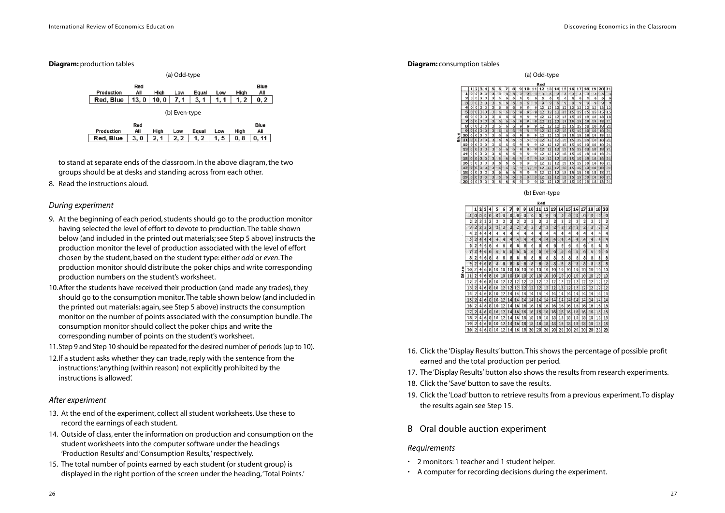#### **Diagram:** production tables

|            |            |      | (a) Odd-type  |       |      |      |                    |
|------------|------------|------|---------------|-------|------|------|--------------------|
| Production | Red<br>All | High | Low           | Equal | Low  | High | <b>Blue</b><br>ΑIΙ |
| Red, Blue  | 13.0       | 10.0 |               | 3.1   | 1. 1 | 1, 2 | 0.2                |
|            |            |      | (b) Even-type |       |      |      |                    |
|            | Red        |      |               |       |      |      | <b>Blue</b>        |
| Production | All        | High | Low           | Equal | Low  | High | All                |
| Red, Blue  | 3, 0       | 2, 1 | 2.2           | 1, 2  | 1, 5 | 0, 8 | 0, 11              |

to stand at separate ends of the classroom. In the above diagram, the two groups should be at desks and standing across from each other.

8. Read the instructions aloud.

#### *During experiment*

- 9. At the beginning of each period, students should go to the production monitor having selected the level of effort to devote to production.The table shown below (and included in the printed out materials; see Step 5 above) instructs the production monitor the level of production associated with the level of effort chosen by the student, based on the student type: either *odd* or *even*.The production monitor should distribute the poker chips and write corresponding production numbers on the student's worksheet.
- 10.After the students have received their production (and made any trades), they should go to the consumption monitor.The table shown below (and included in the printed out materials: again, see Step 5 above) instructs the consumption monitor on the number of points associated with the consumption bundle.The consumption monitor should collect the poker chips and write the corresponding number of points on the student's worksheet.
- 11.Step 9 and Step 10 should be repeated for the desired number of periods (up to 10).
- 12.If a student asks whether they can trade, reply with the sentence from the instructions:'anything (within reason) not explicitly prohibited by the instructions is allowed'.

#### *After experiment*

- 13. At the end of the experiment, collect all student worksheets. Use these to record the earnings of each student.
- 14. Outside of class, enter the information on production and consumption on the student worksheets into the computer software under the headings 'Production Results' and 'Consumption Results,' respectively.
- 15. The total number of points earned by each student (or student group) is displayed in the right portion of the screen under the heading,'Total Points.'

#### **Diagram:** consumption tables

| Red<br>15<br>$\overline{2}$<br>3<br>4<br>5<br>7<br>8<br>10<br>11<br>12<br>14<br>16<br>17<br>18<br>19<br>20 21<br>ı<br>6<br>9<br>13<br>3<br>3<br>3<br>$\overline{\overline{\overline{3}}}$<br>3<br>3<br>3<br>3<br>3<br>$\Omega$<br>o<br>3<br>з<br>ż<br>3<br>3<br>з<br>3<br>1<br>з<br>з<br>2<br>o<br>$\mathsf{o}$<br>3<br>3<br>3<br>6<br>6<br>6<br>б<br>б<br>б<br>б<br>6<br>б<br>6<br>6<br>6<br>б<br>6<br>6<br>9<br>$\overline{9}$<br>$\overline{9}$<br>9<br>3<br>o<br>6<br>6<br>9<br>9<br>9<br>$\overline{9}$<br>$\overline{9}$<br>9<br>9<br>$\overline{9}$<br> 0 <br>з<br>3<br>3<br>6<br>12<br>12<br>12<br>12<br>12<br>12<br>12<br>12<br>12<br>4<br>0<br>$\circ$<br>3<br>3<br>3<br>б<br>6<br>6<br>9<br>9<br>9<br>3<br>9<br>9<br>6<br>6<br>9<br>12<br>12<br>12<br>15<br>15<br>15<br>15<br>15<br>15<br>5<br>$\overline{0}$<br> 0 <br>з<br>3<br>6<br>9<br>9<br>9<br>12<br>12<br>15<br>15<br>$\overline{15}$<br>6<br>3<br>3<br>6<br>6<br>6<br>12<br>18<br>18<br>18<br>٥<br>o<br>3<br>3<br>6<br>9<br>7<br>o<br>$\circ$<br>3<br>3<br>6<br>6<br>9<br>9<br>12<br>12<br>12<br>15<br>15<br>15<br>18<br>18<br>18<br>3<br>3<br>3<br>9<br>9<br>9<br>12<br>12<br>12<br>15<br>15<br>8<br>0<br>$\mathbf 0$<br>6<br>6<br>6<br>15<br>18<br>18<br>18<br>9<br>3<br>6<br>$\overline{9}$<br>$\overline{9}$<br>12<br>12<br>9<br>o<br>$\Omega$<br>з<br>3<br>6<br>6<br>12<br>15<br>15<br>15<br>18<br>18<br>18<br>9<br>12<br>15<br>0<br>3<br>3<br>3<br>б<br>6<br>6<br>9<br>9<br>12<br>12<br>15<br>15<br>18<br>18<br>18<br>ō<br>3<br>3<br>9<br>9<br>$\mathbf{0}$<br>э<br>6<br>6<br>6<br>9<br>12<br>12<br>12<br>15<br>15<br>15<br>18<br>18<br>$\bf{0}$<br>18<br>3<br>3<br>9<br>9<br>9<br>15<br>15<br>15<br>0<br>$\ddot{\text{o}}$<br>3<br>6<br>6<br>6<br>12<br>12<br>12<br>18<br>18<br>18<br>3<br>6<br>6<br>6<br>9<br>9<br>12<br>O<br>3<br>3<br>9<br>12<br>12<br>15<br>15<br>15<br>18<br>18<br>18<br>$\circ$<br>з<br>12<br>12<br>15<br>15<br>18<br>18<br>0<br>o<br>з<br>3<br>6<br>6<br>6<br>9<br>9<br>9<br>12<br>15<br>18<br>3<br>3<br>6<br>6<br>6<br>9<br>9<br>9<br>12<br>12<br>12<br>15<br>15<br>18<br>18<br>0<br>$\circ$<br>3<br>15<br>18<br>16<br>з<br>3<br>3<br>6<br>6<br>6<br>9<br>9<br>9<br>12<br>12<br>12<br>15<br>18<br>18<br>0<br>0<br>15<br>15<br>18<br>3<br>9<br>9<br>17<br>o<br>$\circ$<br>з<br>$\overline{\mathbf{3}}$<br>6<br>6<br>9<br>12<br>12<br>12<br>15<br>15<br>15<br>18<br>18<br>18<br>б<br>18<br>3<br>6<br>12<br>12<br>18<br>0<br>$\circ$<br>3<br>з<br>6<br>6<br>9<br>9<br>9<br>12<br>15<br>15<br>15<br>18<br>18<br>3<br>9<br>9<br>12<br>18<br>19<br>D<br>$\Omega$<br>з<br>з<br>б<br>6<br>б<br>9<br>12<br>12<br>15<br>15<br>15<br>18<br>18<br>20<br>o<br>3<br>$\overline{3}$<br>6<br>6<br>9<br>9<br>9<br>12<br>12<br>15<br>18<br>18<br>o<br>3<br>б<br>12<br>15<br>15<br>18<br>(b) Even-type<br>Red<br>5<br>6<br>12<br>$\overline{a}$<br>3<br>4<br>7<br>8<br>9<br>10<br>11<br>13<br>15<br>16<br>17<br>18<br>19<br>1<br>14<br>$\overline{0}$<br>$\mathbf 0$<br>o<br>0<br>$\mathbf{0}$<br>$\theta$<br>0<br>0<br>0<br>$\bf{0}$<br>$\bf{0}$<br>û<br>0<br>0<br>o<br>0<br>$\theta$<br>0<br>$\mathbf{1}$<br>$\bf{0}$<br>$\overline{2}$<br>2<br>2<br>$\overline{2}$<br>2<br>2<br>2<br>$\overline{2}$<br>2<br>$\overline{2}$<br>$\overline{2}$<br>2<br>2<br>2<br>2<br>2<br>2<br>2<br>2<br>$\overline{2}$<br>$\overline{z}$<br>$\overline{z}$<br>$\overline{2}$<br>3<br>$\overline{2}$<br>$\overline{c}$<br>$\overline{2}$<br>$\overline{z}$<br>$\overline{z}$<br>2<br>2<br>$\overline{2}$<br>$\overline{c}$<br>2<br>2<br>2<br>2<br>2<br>Z<br>$\overline{2}$<br>2<br>4<br>4<br>4<br>4<br>4<br>4<br>4<br>4<br>4<br>4<br>4<br>4<br>4<br>4<br>4<br>4<br>4<br>4<br>4<br>5<br>$\overline{2}$<br>4<br>4<br>4<br>4<br>4<br>$\overline{4}$<br>4<br>4<br>4<br>4<br>4<br>4<br>4<br>4<br>4<br>4<br>4<br>4<br>б<br>$\overline{2}$<br>6<br>б<br>6<br>6<br>$\overline{6}$<br>6<br>6<br>б<br>б<br>б<br>б<br>6<br>4<br>б<br>б<br>6<br>6<br>5<br>7<br>$\overline{2}$<br>6<br>6<br>$\overline{6}$<br>6<br>$\boldsymbol{6}$<br>$\overline{6}$<br>$\ddot{\theta}$<br>6<br>4<br>6<br>6<br>6<br>б<br>6<br>6<br>6<br>6<br>6<br>6<br>8<br>8<br>2<br>4<br>8<br>8<br>8<br>8<br>8<br>8<br>8<br>\$<br>8<br>8<br>8<br>8<br>8<br>8<br>8<br>$\overline{2}$<br>$\overline{8}$<br>$\overline{8}$<br>$\overline{8}$<br>9<br>4<br>6<br>$\overline{8}$<br>$\overline{8}$<br>8<br>8<br>g<br>$\overline{8}$<br>$\overline{8}$<br>g<br>8<br>ß<br>8<br>8<br>B<br>6<br>10<br>10<br>10<br>10<br>2<br>4<br>8<br>10<br>10<br>10<br>10<br>10<br>10<br>10<br>10<br>10<br>10<br>10<br>10<br>2<br>10<br>10<br>10<br>11<br>4<br>6<br>8<br>10<br>10<br>10<br>10<br>10<br>10<br>10<br>10<br>10<br>10<br>10<br>10<br>6<br>$\overline{2}$<br>8<br>12<br>12<br>12<br>12<br>12<br>12<br>12<br>12<br>12<br>4<br>10<br>12<br>12<br>12<br>12<br>12<br>12<br>$\overline{2}$<br>12<br>12<br>12<br>12<br>12<br>12<br>12<br>12<br>12<br>12<br>4<br>6<br>$\overline{8}$<br>10<br>12<br>12<br>12<br>12<br>13<br>2<br>4<br>6<br>8<br>10<br>12<br>14<br>14<br>14<br>14<br>14<br>14<br>14<br>14<br>14<br>14<br>14<br>14<br>14<br>14<br>15<br>$\overline{2}$<br>12<br>14<br>14<br>14<br>4<br>6<br>8<br>10<br>14<br>14<br>14<br>14<br>14<br>14<br>14<br>14<br>14<br>14<br>16<br>2<br>4<br>δ<br>8<br>10<br>12<br>14<br>16<br>16<br>16<br>16<br>16<br>16<br>16<br>16<br>16<br>16<br>16<br>16<br>$\overline{2}$<br>$\ddot{\mathbf{6}}$<br>8 <sup>1</sup><br>10<br>12<br>14<br>16<br>16<br>16<br>16<br>16<br>16<br>16<br>17<br>4<br>16<br>16<br>16<br>16<br>16<br>18<br>2<br>4<br>б<br>12<br>14<br>16<br>18<br>8<br>10<br>18<br>18<br>18<br>18<br>18<br>18<br>18<br>18<br>18<br>18<br>2<br>12<br>19<br>$6 \theta$<br>8<br>14<br>16<br>18<br>18<br>18<br>18<br>18<br>18<br>18<br>18<br>18<br>18<br>18<br>4<br>10<br>18<br>$\overline{2}$<br>6<br>20<br>4<br>8<br>12 14<br>16<br>20<br>20<br>20<br>10<br>18<br>20 <sub>1</sub><br>20<br>20<br>20<br>20<br>20<br>20<br>20 |    |  |  |  |  |  |  |  |  |  |  |                                              |
|-------------------------------------------------------------------------------------------------------------------------------------------------------------------------------------------------------------------------------------------------------------------------------------------------------------------------------------------------------------------------------------------------------------------------------------------------------------------------------------------------------------------------------------------------------------------------------------------------------------------------------------------------------------------------------------------------------------------------------------------------------------------------------------------------------------------------------------------------------------------------------------------------------------------------------------------------------------------------------------------------------------------------------------------------------------------------------------------------------------------------------------------------------------------------------------------------------------------------------------------------------------------------------------------------------------------------------------------------------------------------------------------------------------------------------------------------------------------------------------------------------------------------------------------------------------------------------------------------------------------------------------------------------------------------------------------------------------------------------------------------------------------------------------------------------------------------------------------------------------------------------------------------------------------------------------------------------------------------------------------------------------------------------------------------------------------------------------------------------------------------------------------------------------------------------------------------------------------------------------------------------------------------------------------------------------------------------------------------------------------------------------------------------------------------------------------------------------------------------------------------------------------------------------------------------------------------------------------------------------------------------------------------------------------------------------------------------------------------------------------------------------------------------------------------------------------------------------------------------------------------------------------------------------------------------------------------------------------------------------------------------------------------------------------------------------------------------------------------------------------------------------------------------------------------------------------------------------------------------------------------------------------------------------------------------------------------------------------------------------------------------------------------------------------------------------------------------------------------------------------------------------------------------------------------------------------------------------------------------------------------------------------------------------------------------------------------------------------------------------------------------------------------------------------------------------------------------------------------------------------------------------------------------------------------------------------------------------------------------------------------------------------------------------------------------------------------------------------------------------------------------------------------------------------------------------------------------------------------------------------------------------------------------------------------------------------------------------------------------------------------------------------------------------------------------------------------------------------------------------------------------------------------------------------------------------------------------------------------------------------------------------------------------------------------------------------------------------------------------------------------------------------------------------------------------------------------------------------------------------------------------------------------------------------------------------------------------------------------------------------------------------------------------------------------------------------------------------------------------------------------------------------------------------------------------------------------------------------------------------------------------------------------------------------------------------------------------------------------------------------------------------------------------------------------------------------------------------------------------------------------------------------------------------------------------------------------------------------------------------------------------------------------------------------------------------------------------------------------------------------------------------------------------------------------------------------------------------------------------------------------------|----|--|--|--|--|--|--|--|--|--|--|----------------------------------------------|
|                                                                                                                                                                                                                                                                                                                                                                                                                                                                                                                                                                                                                                                                                                                                                                                                                                                                                                                                                                                                                                                                                                                                                                                                                                                                                                                                                                                                                                                                                                                                                                                                                                                                                                                                                                                                                                                                                                                                                                                                                                                                                                                                                                                                                                                                                                                                                                                                                                                                                                                                                                                                                                                                                                                                                                                                                                                                                                                                                                                                                                                                                                                                                                                                                                                                                                                                                                                                                                                                                                                                                                                                                                                                                                                                                                                                                                                                                                                                                                                                                                                                                                                                                                                                                                                                                                                                                                                                                                                                                                                                                                                                                                                                                                                                                                                                                                                                                                                                                                                                                                                                                                                                                                                                                                                                                                                                                                                                                                                                                                                                                                                                                                                                                                                                                                                                                                                                               |    |  |  |  |  |  |  |  |  |  |  |                                              |
|                                                                                                                                                                                                                                                                                                                                                                                                                                                                                                                                                                                                                                                                                                                                                                                                                                                                                                                                                                                                                                                                                                                                                                                                                                                                                                                                                                                                                                                                                                                                                                                                                                                                                                                                                                                                                                                                                                                                                                                                                                                                                                                                                                                                                                                                                                                                                                                                                                                                                                                                                                                                                                                                                                                                                                                                                                                                                                                                                                                                                                                                                                                                                                                                                                                                                                                                                                                                                                                                                                                                                                                                                                                                                                                                                                                                                                                                                                                                                                                                                                                                                                                                                                                                                                                                                                                                                                                                                                                                                                                                                                                                                                                                                                                                                                                                                                                                                                                                                                                                                                                                                                                                                                                                                                                                                                                                                                                                                                                                                                                                                                                                                                                                                                                                                                                                                                                                               |    |  |  |  |  |  |  |  |  |  |  |                                              |
|                                                                                                                                                                                                                                                                                                                                                                                                                                                                                                                                                                                                                                                                                                                                                                                                                                                                                                                                                                                                                                                                                                                                                                                                                                                                                                                                                                                                                                                                                                                                                                                                                                                                                                                                                                                                                                                                                                                                                                                                                                                                                                                                                                                                                                                                                                                                                                                                                                                                                                                                                                                                                                                                                                                                                                                                                                                                                                                                                                                                                                                                                                                                                                                                                                                                                                                                                                                                                                                                                                                                                                                                                                                                                                                                                                                                                                                                                                                                                                                                                                                                                                                                                                                                                                                                                                                                                                                                                                                                                                                                                                                                                                                                                                                                                                                                                                                                                                                                                                                                                                                                                                                                                                                                                                                                                                                                                                                                                                                                                                                                                                                                                                                                                                                                                                                                                                                                               |    |  |  |  |  |  |  |  |  |  |  |                                              |
|                                                                                                                                                                                                                                                                                                                                                                                                                                                                                                                                                                                                                                                                                                                                                                                                                                                                                                                                                                                                                                                                                                                                                                                                                                                                                                                                                                                                                                                                                                                                                                                                                                                                                                                                                                                                                                                                                                                                                                                                                                                                                                                                                                                                                                                                                                                                                                                                                                                                                                                                                                                                                                                                                                                                                                                                                                                                                                                                                                                                                                                                                                                                                                                                                                                                                                                                                                                                                                                                                                                                                                                                                                                                                                                                                                                                                                                                                                                                                                                                                                                                                                                                                                                                                                                                                                                                                                                                                                                                                                                                                                                                                                                                                                                                                                                                                                                                                                                                                                                                                                                                                                                                                                                                                                                                                                                                                                                                                                                                                                                                                                                                                                                                                                                                                                                                                                                                               |    |  |  |  |  |  |  |  |  |  |  |                                              |
|                                                                                                                                                                                                                                                                                                                                                                                                                                                                                                                                                                                                                                                                                                                                                                                                                                                                                                                                                                                                                                                                                                                                                                                                                                                                                                                                                                                                                                                                                                                                                                                                                                                                                                                                                                                                                                                                                                                                                                                                                                                                                                                                                                                                                                                                                                                                                                                                                                                                                                                                                                                                                                                                                                                                                                                                                                                                                                                                                                                                                                                                                                                                                                                                                                                                                                                                                                                                                                                                                                                                                                                                                                                                                                                                                                                                                                                                                                                                                                                                                                                                                                                                                                                                                                                                                                                                                                                                                                                                                                                                                                                                                                                                                                                                                                                                                                                                                                                                                                                                                                                                                                                                                                                                                                                                                                                                                                                                                                                                                                                                                                                                                                                                                                                                                                                                                                                                               |    |  |  |  |  |  |  |  |  |  |  |                                              |
|                                                                                                                                                                                                                                                                                                                                                                                                                                                                                                                                                                                                                                                                                                                                                                                                                                                                                                                                                                                                                                                                                                                                                                                                                                                                                                                                                                                                                                                                                                                                                                                                                                                                                                                                                                                                                                                                                                                                                                                                                                                                                                                                                                                                                                                                                                                                                                                                                                                                                                                                                                                                                                                                                                                                                                                                                                                                                                                                                                                                                                                                                                                                                                                                                                                                                                                                                                                                                                                                                                                                                                                                                                                                                                                                                                                                                                                                                                                                                                                                                                                                                                                                                                                                                                                                                                                                                                                                                                                                                                                                                                                                                                                                                                                                                                                                                                                                                                                                                                                                                                                                                                                                                                                                                                                                                                                                                                                                                                                                                                                                                                                                                                                                                                                                                                                                                                                                               |    |  |  |  |  |  |  |  |  |  |  |                                              |
|                                                                                                                                                                                                                                                                                                                                                                                                                                                                                                                                                                                                                                                                                                                                                                                                                                                                                                                                                                                                                                                                                                                                                                                                                                                                                                                                                                                                                                                                                                                                                                                                                                                                                                                                                                                                                                                                                                                                                                                                                                                                                                                                                                                                                                                                                                                                                                                                                                                                                                                                                                                                                                                                                                                                                                                                                                                                                                                                                                                                                                                                                                                                                                                                                                                                                                                                                                                                                                                                                                                                                                                                                                                                                                                                                                                                                                                                                                                                                                                                                                                                                                                                                                                                                                                                                                                                                                                                                                                                                                                                                                                                                                                                                                                                                                                                                                                                                                                                                                                                                                                                                                                                                                                                                                                                                                                                                                                                                                                                                                                                                                                                                                                                                                                                                                                                                                                                               |    |  |  |  |  |  |  |  |  |  |  |                                              |
|                                                                                                                                                                                                                                                                                                                                                                                                                                                                                                                                                                                                                                                                                                                                                                                                                                                                                                                                                                                                                                                                                                                                                                                                                                                                                                                                                                                                                                                                                                                                                                                                                                                                                                                                                                                                                                                                                                                                                                                                                                                                                                                                                                                                                                                                                                                                                                                                                                                                                                                                                                                                                                                                                                                                                                                                                                                                                                                                                                                                                                                                                                                                                                                                                                                                                                                                                                                                                                                                                                                                                                                                                                                                                                                                                                                                                                                                                                                                                                                                                                                                                                                                                                                                                                                                                                                                                                                                                                                                                                                                                                                                                                                                                                                                                                                                                                                                                                                                                                                                                                                                                                                                                                                                                                                                                                                                                                                                                                                                                                                                                                                                                                                                                                                                                                                                                                                                               |    |  |  |  |  |  |  |  |  |  |  |                                              |
|                                                                                                                                                                                                                                                                                                                                                                                                                                                                                                                                                                                                                                                                                                                                                                                                                                                                                                                                                                                                                                                                                                                                                                                                                                                                                                                                                                                                                                                                                                                                                                                                                                                                                                                                                                                                                                                                                                                                                                                                                                                                                                                                                                                                                                                                                                                                                                                                                                                                                                                                                                                                                                                                                                                                                                                                                                                                                                                                                                                                                                                                                                                                                                                                                                                                                                                                                                                                                                                                                                                                                                                                                                                                                                                                                                                                                                                                                                                                                                                                                                                                                                                                                                                                                                                                                                                                                                                                                                                                                                                                                                                                                                                                                                                                                                                                                                                                                                                                                                                                                                                                                                                                                                                                                                                                                                                                                                                                                                                                                                                                                                                                                                                                                                                                                                                                                                                                               |    |  |  |  |  |  |  |  |  |  |  |                                              |
|                                                                                                                                                                                                                                                                                                                                                                                                                                                                                                                                                                                                                                                                                                                                                                                                                                                                                                                                                                                                                                                                                                                                                                                                                                                                                                                                                                                                                                                                                                                                                                                                                                                                                                                                                                                                                                                                                                                                                                                                                                                                                                                                                                                                                                                                                                                                                                                                                                                                                                                                                                                                                                                                                                                                                                                                                                                                                                                                                                                                                                                                                                                                                                                                                                                                                                                                                                                                                                                                                                                                                                                                                                                                                                                                                                                                                                                                                                                                                                                                                                                                                                                                                                                                                                                                                                                                                                                                                                                                                                                                                                                                                                                                                                                                                                                                                                                                                                                                                                                                                                                                                                                                                                                                                                                                                                                                                                                                                                                                                                                                                                                                                                                                                                                                                                                                                                                                               |    |  |  |  |  |  |  |  |  |  |  |                                              |
|                                                                                                                                                                                                                                                                                                                                                                                                                                                                                                                                                                                                                                                                                                                                                                                                                                                                                                                                                                                                                                                                                                                                                                                                                                                                                                                                                                                                                                                                                                                                                                                                                                                                                                                                                                                                                                                                                                                                                                                                                                                                                                                                                                                                                                                                                                                                                                                                                                                                                                                                                                                                                                                                                                                                                                                                                                                                                                                                                                                                                                                                                                                                                                                                                                                                                                                                                                                                                                                                                                                                                                                                                                                                                                                                                                                                                                                                                                                                                                                                                                                                                                                                                                                                                                                                                                                                                                                                                                                                                                                                                                                                                                                                                                                                                                                                                                                                                                                                                                                                                                                                                                                                                                                                                                                                                                                                                                                                                                                                                                                                                                                                                                                                                                                                                                                                                                                                               | 10 |  |  |  |  |  |  |  |  |  |  |                                              |
|                                                                                                                                                                                                                                                                                                                                                                                                                                                                                                                                                                                                                                                                                                                                                                                                                                                                                                                                                                                                                                                                                                                                                                                                                                                                                                                                                                                                                                                                                                                                                                                                                                                                                                                                                                                                                                                                                                                                                                                                                                                                                                                                                                                                                                                                                                                                                                                                                                                                                                                                                                                                                                                                                                                                                                                                                                                                                                                                                                                                                                                                                                                                                                                                                                                                                                                                                                                                                                                                                                                                                                                                                                                                                                                                                                                                                                                                                                                                                                                                                                                                                                                                                                                                                                                                                                                                                                                                                                                                                                                                                                                                                                                                                                                                                                                                                                                                                                                                                                                                                                                                                                                                                                                                                                                                                                                                                                                                                                                                                                                                                                                                                                                                                                                                                                                                                                                                               | 11 |  |  |  |  |  |  |  |  |  |  |                                              |
|                                                                                                                                                                                                                                                                                                                                                                                                                                                                                                                                                                                                                                                                                                                                                                                                                                                                                                                                                                                                                                                                                                                                                                                                                                                                                                                                                                                                                                                                                                                                                                                                                                                                                                                                                                                                                                                                                                                                                                                                                                                                                                                                                                                                                                                                                                                                                                                                                                                                                                                                                                                                                                                                                                                                                                                                                                                                                                                                                                                                                                                                                                                                                                                                                                                                                                                                                                                                                                                                                                                                                                                                                                                                                                                                                                                                                                                                                                                                                                                                                                                                                                                                                                                                                                                                                                                                                                                                                                                                                                                                                                                                                                                                                                                                                                                                                                                                                                                                                                                                                                                                                                                                                                                                                                                                                                                                                                                                                                                                                                                                                                                                                                                                                                                                                                                                                                                                               | 12 |  |  |  |  |  |  |  |  |  |  |                                              |
|                                                                                                                                                                                                                                                                                                                                                                                                                                                                                                                                                                                                                                                                                                                                                                                                                                                                                                                                                                                                                                                                                                                                                                                                                                                                                                                                                                                                                                                                                                                                                                                                                                                                                                                                                                                                                                                                                                                                                                                                                                                                                                                                                                                                                                                                                                                                                                                                                                                                                                                                                                                                                                                                                                                                                                                                                                                                                                                                                                                                                                                                                                                                                                                                                                                                                                                                                                                                                                                                                                                                                                                                                                                                                                                                                                                                                                                                                                                                                                                                                                                                                                                                                                                                                                                                                                                                                                                                                                                                                                                                                                                                                                                                                                                                                                                                                                                                                                                                                                                                                                                                                                                                                                                                                                                                                                                                                                                                                                                                                                                                                                                                                                                                                                                                                                                                                                                                               | 13 |  |  |  |  |  |  |  |  |  |  |                                              |
|                                                                                                                                                                                                                                                                                                                                                                                                                                                                                                                                                                                                                                                                                                                                                                                                                                                                                                                                                                                                                                                                                                                                                                                                                                                                                                                                                                                                                                                                                                                                                                                                                                                                                                                                                                                                                                                                                                                                                                                                                                                                                                                                                                                                                                                                                                                                                                                                                                                                                                                                                                                                                                                                                                                                                                                                                                                                                                                                                                                                                                                                                                                                                                                                                                                                                                                                                                                                                                                                                                                                                                                                                                                                                                                                                                                                                                                                                                                                                                                                                                                                                                                                                                                                                                                                                                                                                                                                                                                                                                                                                                                                                                                                                                                                                                                                                                                                                                                                                                                                                                                                                                                                                                                                                                                                                                                                                                                                                                                                                                                                                                                                                                                                                                                                                                                                                                                                               | 14 |  |  |  |  |  |  |  |  |  |  |                                              |
|                                                                                                                                                                                                                                                                                                                                                                                                                                                                                                                                                                                                                                                                                                                                                                                                                                                                                                                                                                                                                                                                                                                                                                                                                                                                                                                                                                                                                                                                                                                                                                                                                                                                                                                                                                                                                                                                                                                                                                                                                                                                                                                                                                                                                                                                                                                                                                                                                                                                                                                                                                                                                                                                                                                                                                                                                                                                                                                                                                                                                                                                                                                                                                                                                                                                                                                                                                                                                                                                                                                                                                                                                                                                                                                                                                                                                                                                                                                                                                                                                                                                                                                                                                                                                                                                                                                                                                                                                                                                                                                                                                                                                                                                                                                                                                                                                                                                                                                                                                                                                                                                                                                                                                                                                                                                                                                                                                                                                                                                                                                                                                                                                                                                                                                                                                                                                                                                               | 15 |  |  |  |  |  |  |  |  |  |  |                                              |
|                                                                                                                                                                                                                                                                                                                                                                                                                                                                                                                                                                                                                                                                                                                                                                                                                                                                                                                                                                                                                                                                                                                                                                                                                                                                                                                                                                                                                                                                                                                                                                                                                                                                                                                                                                                                                                                                                                                                                                                                                                                                                                                                                                                                                                                                                                                                                                                                                                                                                                                                                                                                                                                                                                                                                                                                                                                                                                                                                                                                                                                                                                                                                                                                                                                                                                                                                                                                                                                                                                                                                                                                                                                                                                                                                                                                                                                                                                                                                                                                                                                                                                                                                                                                                                                                                                                                                                                                                                                                                                                                                                                                                                                                                                                                                                                                                                                                                                                                                                                                                                                                                                                                                                                                                                                                                                                                                                                                                                                                                                                                                                                                                                                                                                                                                                                                                                                                               |    |  |  |  |  |  |  |  |  |  |  |                                              |
|                                                                                                                                                                                                                                                                                                                                                                                                                                                                                                                                                                                                                                                                                                                                                                                                                                                                                                                                                                                                                                                                                                                                                                                                                                                                                                                                                                                                                                                                                                                                                                                                                                                                                                                                                                                                                                                                                                                                                                                                                                                                                                                                                                                                                                                                                                                                                                                                                                                                                                                                                                                                                                                                                                                                                                                                                                                                                                                                                                                                                                                                                                                                                                                                                                                                                                                                                                                                                                                                                                                                                                                                                                                                                                                                                                                                                                                                                                                                                                                                                                                                                                                                                                                                                                                                                                                                                                                                                                                                                                                                                                                                                                                                                                                                                                                                                                                                                                                                                                                                                                                                                                                                                                                                                                                                                                                                                                                                                                                                                                                                                                                                                                                                                                                                                                                                                                                                               |    |  |  |  |  |  |  |  |  |  |  |                                              |
|                                                                                                                                                                                                                                                                                                                                                                                                                                                                                                                                                                                                                                                                                                                                                                                                                                                                                                                                                                                                                                                                                                                                                                                                                                                                                                                                                                                                                                                                                                                                                                                                                                                                                                                                                                                                                                                                                                                                                                                                                                                                                                                                                                                                                                                                                                                                                                                                                                                                                                                                                                                                                                                                                                                                                                                                                                                                                                                                                                                                                                                                                                                                                                                                                                                                                                                                                                                                                                                                                                                                                                                                                                                                                                                                                                                                                                                                                                                                                                                                                                                                                                                                                                                                                                                                                                                                                                                                                                                                                                                                                                                                                                                                                                                                                                                                                                                                                                                                                                                                                                                                                                                                                                                                                                                                                                                                                                                                                                                                                                                                                                                                                                                                                                                                                                                                                                                                               |    |  |  |  |  |  |  |  |  |  |  |                                              |
|                                                                                                                                                                                                                                                                                                                                                                                                                                                                                                                                                                                                                                                                                                                                                                                                                                                                                                                                                                                                                                                                                                                                                                                                                                                                                                                                                                                                                                                                                                                                                                                                                                                                                                                                                                                                                                                                                                                                                                                                                                                                                                                                                                                                                                                                                                                                                                                                                                                                                                                                                                                                                                                                                                                                                                                                                                                                                                                                                                                                                                                                                                                                                                                                                                                                                                                                                                                                                                                                                                                                                                                                                                                                                                                                                                                                                                                                                                                                                                                                                                                                                                                                                                                                                                                                                                                                                                                                                                                                                                                                                                                                                                                                                                                                                                                                                                                                                                                                                                                                                                                                                                                                                                                                                                                                                                                                                                                                                                                                                                                                                                                                                                                                                                                                                                                                                                                                               |    |  |  |  |  |  |  |  |  |  |  |                                              |
|                                                                                                                                                                                                                                                                                                                                                                                                                                                                                                                                                                                                                                                                                                                                                                                                                                                                                                                                                                                                                                                                                                                                                                                                                                                                                                                                                                                                                                                                                                                                                                                                                                                                                                                                                                                                                                                                                                                                                                                                                                                                                                                                                                                                                                                                                                                                                                                                                                                                                                                                                                                                                                                                                                                                                                                                                                                                                                                                                                                                                                                                                                                                                                                                                                                                                                                                                                                                                                                                                                                                                                                                                                                                                                                                                                                                                                                                                                                                                                                                                                                                                                                                                                                                                                                                                                                                                                                                                                                                                                                                                                                                                                                                                                                                                                                                                                                                                                                                                                                                                                                                                                                                                                                                                                                                                                                                                                                                                                                                                                                                                                                                                                                                                                                                                                                                                                                                               |    |  |  |  |  |  |  |  |  |  |  |                                              |
|                                                                                                                                                                                                                                                                                                                                                                                                                                                                                                                                                                                                                                                                                                                                                                                                                                                                                                                                                                                                                                                                                                                                                                                                                                                                                                                                                                                                                                                                                                                                                                                                                                                                                                                                                                                                                                                                                                                                                                                                                                                                                                                                                                                                                                                                                                                                                                                                                                                                                                                                                                                                                                                                                                                                                                                                                                                                                                                                                                                                                                                                                                                                                                                                                                                                                                                                                                                                                                                                                                                                                                                                                                                                                                                                                                                                                                                                                                                                                                                                                                                                                                                                                                                                                                                                                                                                                                                                                                                                                                                                                                                                                                                                                                                                                                                                                                                                                                                                                                                                                                                                                                                                                                                                                                                                                                                                                                                                                                                                                                                                                                                                                                                                                                                                                                                                                                                                               |    |  |  |  |  |  |  |  |  |  |  |                                              |
|                                                                                                                                                                                                                                                                                                                                                                                                                                                                                                                                                                                                                                                                                                                                                                                                                                                                                                                                                                                                                                                                                                                                                                                                                                                                                                                                                                                                                                                                                                                                                                                                                                                                                                                                                                                                                                                                                                                                                                                                                                                                                                                                                                                                                                                                                                                                                                                                                                                                                                                                                                                                                                                                                                                                                                                                                                                                                                                                                                                                                                                                                                                                                                                                                                                                                                                                                                                                                                                                                                                                                                                                                                                                                                                                                                                                                                                                                                                                                                                                                                                                                                                                                                                                                                                                                                                                                                                                                                                                                                                                                                                                                                                                                                                                                                                                                                                                                                                                                                                                                                                                                                                                                                                                                                                                                                                                                                                                                                                                                                                                                                                                                                                                                                                                                                                                                                                                               |    |  |  |  |  |  |  |  |  |  |  |                                              |
|                                                                                                                                                                                                                                                                                                                                                                                                                                                                                                                                                                                                                                                                                                                                                                                                                                                                                                                                                                                                                                                                                                                                                                                                                                                                                                                                                                                                                                                                                                                                                                                                                                                                                                                                                                                                                                                                                                                                                                                                                                                                                                                                                                                                                                                                                                                                                                                                                                                                                                                                                                                                                                                                                                                                                                                                                                                                                                                                                                                                                                                                                                                                                                                                                                                                                                                                                                                                                                                                                                                                                                                                                                                                                                                                                                                                                                                                                                                                                                                                                                                                                                                                                                                                                                                                                                                                                                                                                                                                                                                                                                                                                                                                                                                                                                                                                                                                                                                                                                                                                                                                                                                                                                                                                                                                                                                                                                                                                                                                                                                                                                                                                                                                                                                                                                                                                                                                               |    |  |  |  |  |  |  |  |  |  |  |                                              |
|                                                                                                                                                                                                                                                                                                                                                                                                                                                                                                                                                                                                                                                                                                                                                                                                                                                                                                                                                                                                                                                                                                                                                                                                                                                                                                                                                                                                                                                                                                                                                                                                                                                                                                                                                                                                                                                                                                                                                                                                                                                                                                                                                                                                                                                                                                                                                                                                                                                                                                                                                                                                                                                                                                                                                                                                                                                                                                                                                                                                                                                                                                                                                                                                                                                                                                                                                                                                                                                                                                                                                                                                                                                                                                                                                                                                                                                                                                                                                                                                                                                                                                                                                                                                                                                                                                                                                                                                                                                                                                                                                                                                                                                                                                                                                                                                                                                                                                                                                                                                                                                                                                                                                                                                                                                                                                                                                                                                                                                                                                                                                                                                                                                                                                                                                                                                                                                                               |    |  |  |  |  |  |  |  |  |  |  |                                              |
|                                                                                                                                                                                                                                                                                                                                                                                                                                                                                                                                                                                                                                                                                                                                                                                                                                                                                                                                                                                                                                                                                                                                                                                                                                                                                                                                                                                                                                                                                                                                                                                                                                                                                                                                                                                                                                                                                                                                                                                                                                                                                                                                                                                                                                                                                                                                                                                                                                                                                                                                                                                                                                                                                                                                                                                                                                                                                                                                                                                                                                                                                                                                                                                                                                                                                                                                                                                                                                                                                                                                                                                                                                                                                                                                                                                                                                                                                                                                                                                                                                                                                                                                                                                                                                                                                                                                                                                                                                                                                                                                                                                                                                                                                                                                                                                                                                                                                                                                                                                                                                                                                                                                                                                                                                                                                                                                                                                                                                                                                                                                                                                                                                                                                                                                                                                                                                                                               |    |  |  |  |  |  |  |  |  |  |  |                                              |
|                                                                                                                                                                                                                                                                                                                                                                                                                                                                                                                                                                                                                                                                                                                                                                                                                                                                                                                                                                                                                                                                                                                                                                                                                                                                                                                                                                                                                                                                                                                                                                                                                                                                                                                                                                                                                                                                                                                                                                                                                                                                                                                                                                                                                                                                                                                                                                                                                                                                                                                                                                                                                                                                                                                                                                                                                                                                                                                                                                                                                                                                                                                                                                                                                                                                                                                                                                                                                                                                                                                                                                                                                                                                                                                                                                                                                                                                                                                                                                                                                                                                                                                                                                                                                                                                                                                                                                                                                                                                                                                                                                                                                                                                                                                                                                                                                                                                                                                                                                                                                                                                                                                                                                                                                                                                                                                                                                                                                                                                                                                                                                                                                                                                                                                                                                                                                                                                               |    |  |  |  |  |  |  |  |  |  |  |                                              |
|                                                                                                                                                                                                                                                                                                                                                                                                                                                                                                                                                                                                                                                                                                                                                                                                                                                                                                                                                                                                                                                                                                                                                                                                                                                                                                                                                                                                                                                                                                                                                                                                                                                                                                                                                                                                                                                                                                                                                                                                                                                                                                                                                                                                                                                                                                                                                                                                                                                                                                                                                                                                                                                                                                                                                                                                                                                                                                                                                                                                                                                                                                                                                                                                                                                                                                                                                                                                                                                                                                                                                                                                                                                                                                                                                                                                                                                                                                                                                                                                                                                                                                                                                                                                                                                                                                                                                                                                                                                                                                                                                                                                                                                                                                                                                                                                                                                                                                                                                                                                                                                                                                                                                                                                                                                                                                                                                                                                                                                                                                                                                                                                                                                                                                                                                                                                                                                                               |    |  |  |  |  |  |  |  |  |  |  |                                              |
|                                                                                                                                                                                                                                                                                                                                                                                                                                                                                                                                                                                                                                                                                                                                                                                                                                                                                                                                                                                                                                                                                                                                                                                                                                                                                                                                                                                                                                                                                                                                                                                                                                                                                                                                                                                                                                                                                                                                                                                                                                                                                                                                                                                                                                                                                                                                                                                                                                                                                                                                                                                                                                                                                                                                                                                                                                                                                                                                                                                                                                                                                                                                                                                                                                                                                                                                                                                                                                                                                                                                                                                                                                                                                                                                                                                                                                                                                                                                                                                                                                                                                                                                                                                                                                                                                                                                                                                                                                                                                                                                                                                                                                                                                                                                                                                                                                                                                                                                                                                                                                                                                                                                                                                                                                                                                                                                                                                                                                                                                                                                                                                                                                                                                                                                                                                                                                                                               |    |  |  |  |  |  |  |  |  |  |  |                                              |
|                                                                                                                                                                                                                                                                                                                                                                                                                                                                                                                                                                                                                                                                                                                                                                                                                                                                                                                                                                                                                                                                                                                                                                                                                                                                                                                                                                                                                                                                                                                                                                                                                                                                                                                                                                                                                                                                                                                                                                                                                                                                                                                                                                                                                                                                                                                                                                                                                                                                                                                                                                                                                                                                                                                                                                                                                                                                                                                                                                                                                                                                                                                                                                                                                                                                                                                                                                                                                                                                                                                                                                                                                                                                                                                                                                                                                                                                                                                                                                                                                                                                                                                                                                                                                                                                                                                                                                                                                                                                                                                                                                                                                                                                                                                                                                                                                                                                                                                                                                                                                                                                                                                                                                                                                                                                                                                                                                                                                                                                                                                                                                                                                                                                                                                                                                                                                                                                               |    |  |  |  |  |  |  |  |  |  |  |                                              |
|                                                                                                                                                                                                                                                                                                                                                                                                                                                                                                                                                                                                                                                                                                                                                                                                                                                                                                                                                                                                                                                                                                                                                                                                                                                                                                                                                                                                                                                                                                                                                                                                                                                                                                                                                                                                                                                                                                                                                                                                                                                                                                                                                                                                                                                                                                                                                                                                                                                                                                                                                                                                                                                                                                                                                                                                                                                                                                                                                                                                                                                                                                                                                                                                                                                                                                                                                                                                                                                                                                                                                                                                                                                                                                                                                                                                                                                                                                                                                                                                                                                                                                                                                                                                                                                                                                                                                                                                                                                                                                                                                                                                                                                                                                                                                                                                                                                                                                                                                                                                                                                                                                                                                                                                                                                                                                                                                                                                                                                                                                                                                                                                                                                                                                                                                                                                                                                                               |    |  |  |  |  |  |  |  |  |  |  |                                              |
|                                                                                                                                                                                                                                                                                                                                                                                                                                                                                                                                                                                                                                                                                                                                                                                                                                                                                                                                                                                                                                                                                                                                                                                                                                                                                                                                                                                                                                                                                                                                                                                                                                                                                                                                                                                                                                                                                                                                                                                                                                                                                                                                                                                                                                                                                                                                                                                                                                                                                                                                                                                                                                                                                                                                                                                                                                                                                                                                                                                                                                                                                                                                                                                                                                                                                                                                                                                                                                                                                                                                                                                                                                                                                                                                                                                                                                                                                                                                                                                                                                                                                                                                                                                                                                                                                                                                                                                                                                                                                                                                                                                                                                                                                                                                                                                                                                                                                                                                                                                                                                                                                                                                                                                                                                                                                                                                                                                                                                                                                                                                                                                                                                                                                                                                                                                                                                                                               |    |  |  |  |  |  |  |  |  |  |  |                                              |
|                                                                                                                                                                                                                                                                                                                                                                                                                                                                                                                                                                                                                                                                                                                                                                                                                                                                                                                                                                                                                                                                                                                                                                                                                                                                                                                                                                                                                                                                                                                                                                                                                                                                                                                                                                                                                                                                                                                                                                                                                                                                                                                                                                                                                                                                                                                                                                                                                                                                                                                                                                                                                                                                                                                                                                                                                                                                                                                                                                                                                                                                                                                                                                                                                                                                                                                                                                                                                                                                                                                                                                                                                                                                                                                                                                                                                                                                                                                                                                                                                                                                                                                                                                                                                                                                                                                                                                                                                                                                                                                                                                                                                                                                                                                                                                                                                                                                                                                                                                                                                                                                                                                                                                                                                                                                                                                                                                                                                                                                                                                                                                                                                                                                                                                                                                                                                                                                               |    |  |  |  |  |  |  |  |  |  |  |                                              |
|                                                                                                                                                                                                                                                                                                                                                                                                                                                                                                                                                                                                                                                                                                                                                                                                                                                                                                                                                                                                                                                                                                                                                                                                                                                                                                                                                                                                                                                                                                                                                                                                                                                                                                                                                                                                                                                                                                                                                                                                                                                                                                                                                                                                                                                                                                                                                                                                                                                                                                                                                                                                                                                                                                                                                                                                                                                                                                                                                                                                                                                                                                                                                                                                                                                                                                                                                                                                                                                                                                                                                                                                                                                                                                                                                                                                                                                                                                                                                                                                                                                                                                                                                                                                                                                                                                                                                                                                                                                                                                                                                                                                                                                                                                                                                                                                                                                                                                                                                                                                                                                                                                                                                                                                                                                                                                                                                                                                                                                                                                                                                                                                                                                                                                                                                                                                                                                                               |    |  |  |  |  |  |  |  |  |  |  |                                              |
|                                                                                                                                                                                                                                                                                                                                                                                                                                                                                                                                                                                                                                                                                                                                                                                                                                                                                                                                                                                                                                                                                                                                                                                                                                                                                                                                                                                                                                                                                                                                                                                                                                                                                                                                                                                                                                                                                                                                                                                                                                                                                                                                                                                                                                                                                                                                                                                                                                                                                                                                                                                                                                                                                                                                                                                                                                                                                                                                                                                                                                                                                                                                                                                                                                                                                                                                                                                                                                                                                                                                                                                                                                                                                                                                                                                                                                                                                                                                                                                                                                                                                                                                                                                                                                                                                                                                                                                                                                                                                                                                                                                                                                                                                                                                                                                                                                                                                                                                                                                                                                                                                                                                                                                                                                                                                                                                                                                                                                                                                                                                                                                                                                                                                                                                                                                                                                                                               |    |  |  |  |  |  |  |  |  |  |  |                                              |
|                                                                                                                                                                                                                                                                                                                                                                                                                                                                                                                                                                                                                                                                                                                                                                                                                                                                                                                                                                                                                                                                                                                                                                                                                                                                                                                                                                                                                                                                                                                                                                                                                                                                                                                                                                                                                                                                                                                                                                                                                                                                                                                                                                                                                                                                                                                                                                                                                                                                                                                                                                                                                                                                                                                                                                                                                                                                                                                                                                                                                                                                                                                                                                                                                                                                                                                                                                                                                                                                                                                                                                                                                                                                                                                                                                                                                                                                                                                                                                                                                                                                                                                                                                                                                                                                                                                                                                                                                                                                                                                                                                                                                                                                                                                                                                                                                                                                                                                                                                                                                                                                                                                                                                                                                                                                                                                                                                                                                                                                                                                                                                                                                                                                                                                                                                                                                                                                               |    |  |  |  |  |  |  |  |  |  |  |                                              |
|                                                                                                                                                                                                                                                                                                                                                                                                                                                                                                                                                                                                                                                                                                                                                                                                                                                                                                                                                                                                                                                                                                                                                                                                                                                                                                                                                                                                                                                                                                                                                                                                                                                                                                                                                                                                                                                                                                                                                                                                                                                                                                                                                                                                                                                                                                                                                                                                                                                                                                                                                                                                                                                                                                                                                                                                                                                                                                                                                                                                                                                                                                                                                                                                                                                                                                                                                                                                                                                                                                                                                                                                                                                                                                                                                                                                                                                                                                                                                                                                                                                                                                                                                                                                                                                                                                                                                                                                                                                                                                                                                                                                                                                                                                                                                                                                                                                                                                                                                                                                                                                                                                                                                                                                                                                                                                                                                                                                                                                                                                                                                                                                                                                                                                                                                                                                                                                                               |    |  |  |  |  |  |  |  |  |  |  |                                              |
|                                                                                                                                                                                                                                                                                                                                                                                                                                                                                                                                                                                                                                                                                                                                                                                                                                                                                                                                                                                                                                                                                                                                                                                                                                                                                                                                                                                                                                                                                                                                                                                                                                                                                                                                                                                                                                                                                                                                                                                                                                                                                                                                                                                                                                                                                                                                                                                                                                                                                                                                                                                                                                                                                                                                                                                                                                                                                                                                                                                                                                                                                                                                                                                                                                                                                                                                                                                                                                                                                                                                                                                                                                                                                                                                                                                                                                                                                                                                                                                                                                                                                                                                                                                                                                                                                                                                                                                                                                                                                                                                                                                                                                                                                                                                                                                                                                                                                                                                                                                                                                                                                                                                                                                                                                                                                                                                                                                                                                                                                                                                                                                                                                                                                                                                                                                                                                                                               |    |  |  |  |  |  |  |  |  |  |  |                                              |
|                                                                                                                                                                                                                                                                                                                                                                                                                                                                                                                                                                                                                                                                                                                                                                                                                                                                                                                                                                                                                                                                                                                                                                                                                                                                                                                                                                                                                                                                                                                                                                                                                                                                                                                                                                                                                                                                                                                                                                                                                                                                                                                                                                                                                                                                                                                                                                                                                                                                                                                                                                                                                                                                                                                                                                                                                                                                                                                                                                                                                                                                                                                                                                                                                                                                                                                                                                                                                                                                                                                                                                                                                                                                                                                                                                                                                                                                                                                                                                                                                                                                                                                                                                                                                                                                                                                                                                                                                                                                                                                                                                                                                                                                                                                                                                                                                                                                                                                                                                                                                                                                                                                                                                                                                                                                                                                                                                                                                                                                                                                                                                                                                                                                                                                                                                                                                                                                               |    |  |  |  |  |  |  |  |  |  |  |                                              |
|                                                                                                                                                                                                                                                                                                                                                                                                                                                                                                                                                                                                                                                                                                                                                                                                                                                                                                                                                                                                                                                                                                                                                                                                                                                                                                                                                                                                                                                                                                                                                                                                                                                                                                                                                                                                                                                                                                                                                                                                                                                                                                                                                                                                                                                                                                                                                                                                                                                                                                                                                                                                                                                                                                                                                                                                                                                                                                                                                                                                                                                                                                                                                                                                                                                                                                                                                                                                                                                                                                                                                                                                                                                                                                                                                                                                                                                                                                                                                                                                                                                                                                                                                                                                                                                                                                                                                                                                                                                                                                                                                                                                                                                                                                                                                                                                                                                                                                                                                                                                                                                                                                                                                                                                                                                                                                                                                                                                                                                                                                                                                                                                                                                                                                                                                                                                                                                                               |    |  |  |  |  |  |  |  |  |  |  | 20<br>10<br>10<br>12<br>12<br>14<br>14<br>16 |
|                                                                                                                                                                                                                                                                                                                                                                                                                                                                                                                                                                                                                                                                                                                                                                                                                                                                                                                                                                                                                                                                                                                                                                                                                                                                                                                                                                                                                                                                                                                                                                                                                                                                                                                                                                                                                                                                                                                                                                                                                                                                                                                                                                                                                                                                                                                                                                                                                                                                                                                                                                                                                                                                                                                                                                                                                                                                                                                                                                                                                                                                                                                                                                                                                                                                                                                                                                                                                                                                                                                                                                                                                                                                                                                                                                                                                                                                                                                                                                                                                                                                                                                                                                                                                                                                                                                                                                                                                                                                                                                                                                                                                                                                                                                                                                                                                                                                                                                                                                                                                                                                                                                                                                                                                                                                                                                                                                                                                                                                                                                                                                                                                                                                                                                                                                                                                                                                               |    |  |  |  |  |  |  |  |  |  |  | 16                                           |
|                                                                                                                                                                                                                                                                                                                                                                                                                                                                                                                                                                                                                                                                                                                                                                                                                                                                                                                                                                                                                                                                                                                                                                                                                                                                                                                                                                                                                                                                                                                                                                                                                                                                                                                                                                                                                                                                                                                                                                                                                                                                                                                                                                                                                                                                                                                                                                                                                                                                                                                                                                                                                                                                                                                                                                                                                                                                                                                                                                                                                                                                                                                                                                                                                                                                                                                                                                                                                                                                                                                                                                                                                                                                                                                                                                                                                                                                                                                                                                                                                                                                                                                                                                                                                                                                                                                                                                                                                                                                                                                                                                                                                                                                                                                                                                                                                                                                                                                                                                                                                                                                                                                                                                                                                                                                                                                                                                                                                                                                                                                                                                                                                                                                                                                                                                                                                                                                               |    |  |  |  |  |  |  |  |  |  |  | 18                                           |

 $(4)$  Odd-type

- 16. Click the 'Display Results' button.This shows the percentage of possible profit earned and the total production per period.
- 17. The 'Display Results' button also shows the results from research experiments.
- 18. Click the 'Save' button to save the results.
- 19. Click the 'Load' button to retrieve results from a previous experiment.To display the results again see Step 15.

# B Oral double auction experiment

## *Requirements*

- 2 monitors: 1 teacher and 1 student helper.
- A computer for recording decisions during the experiment.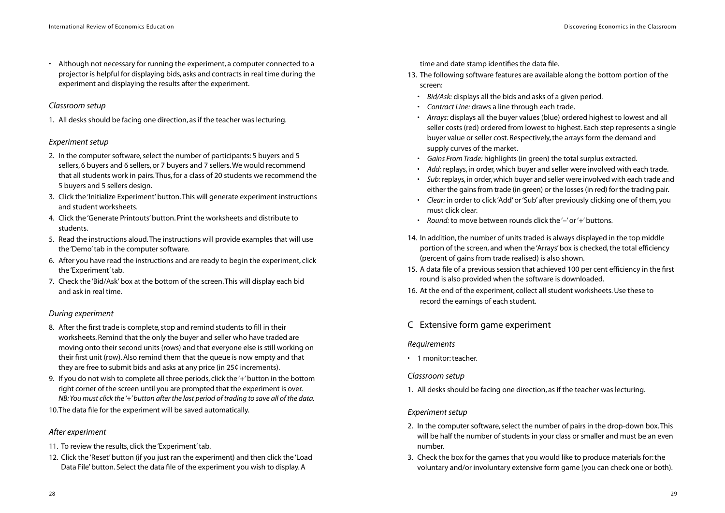• Although not necessary for running the experiment, a computer connected to a projector is helpful for displaying bids, asks and contracts in real time during the experiment and displaying the results after the experiment.

## *Classroom setup*

1. All desks should be facing one direction, as if the teacher was lecturing.

## *Experiment setup*

- 2. In the computer software, select the number of participants: 5 buyers and 5 sellers, 6 buyers and 6 sellers, or 7 buyers and 7 sellers.We would recommend that all students work in pairs.Thus, for a class of 20 students we recommend the 5 buyers and 5 sellers design.
- 3. Click the 'Initialize Experiment' button.This will generate experiment instructions and student worksheets.
- 4. Click the 'Generate Printouts' button. Print the worksheets and distribute to students.
- 5. Read the instructions aloud.The instructions will provide examples that will use the 'Demo' tab in the computer software.
- 6. After you have read the instructions and are ready to begin the experiment, click the 'Experiment' tab.
- 7. Check the 'Bid/Ask' box at the bottom of the screen.This will display each bid and ask in real time.

# *During experiment*

- 8. After the first trade is complete, stop and remind students to fill in their worksheets. Remind that the only the buyer and seller who have traded are moving onto their second units (rows) and that everyone else is still working on their first unit (row). Also remind them that the queue is now empty and that they are free to submit bids and asks at any price (in 25¢ increments).
- 9. If you do not wish to complete all three periods, click the '+' button in the bottom right corner of the screen until you are prompted that the experiment is over. *NB: You must click the '+' button after the last period of trading to save all of the data.* 10.The data file for the experiment will be saved automatically.

# *After experiment*

- 11. To review the results, click the 'Experiment' tab.
- 12. Click the 'Reset' button (if you just ran the experiment) and then click the 'Load Data File' button. Select the data file of the experiment you wish to display. A

time and date stamp identifies the data file.

- 13. The following software features are available along the bottom portion of the screen:
	- *Bid/Ask:* displays all the bids and asks of a given period.
	- *Contract Line:* draws a line through each trade.
	- *Arrays:* displays all the buyer values (blue) ordered highest to lowest and all seller costs (red) ordered from lowest to highest. Each step represents a single buyer value or seller cost. Respectively, the arrays form the demand and supply curves of the market.
	- *Gains From Trade:* highlights (in green) the total surplus extracted.
	- *Add:* replays, in order, which buyer and seller were involved with each trade.
	- *Sub:* replays, in order, which buyer and seller were involved with each trade and either the gains from trade (in green) or the losses (in red) for the trading pair.
	- *Clear:* in order to click 'Add' or 'Sub' after previously clicking one of them, you must click clear.
	- *Round:* to move between rounds click the '–' or '+' buttons.
- 14. In addition, the number of units traded is always displayed in the top middle portion of the screen, and when the 'Arrays' box is checked, the total efficiency (percent of gains from trade realised) is also shown.
- 15. A data file of a previous session that achieved 100 per cent efficiency in the first round is also provided when the software is downloaded.
- 16. At the end of the experiment, collect all student worksheets. Use these to record the earnings of each student.

# C Extensive form game experiment

# *Requirements*

• 1 monitor: teacher.

# *Classroom setup*

1. All desks should be facing one direction, as if the teacher was lecturing.

# *Experiment setup*

- 2. In the computer software, select the number of pairs in the drop-down box.This will be half the number of students in your class or smaller and must be an even number.
- 3. Check the box for the games that you would like to produce materials for: the voluntary and/or involuntary extensive form game (you can check one or both).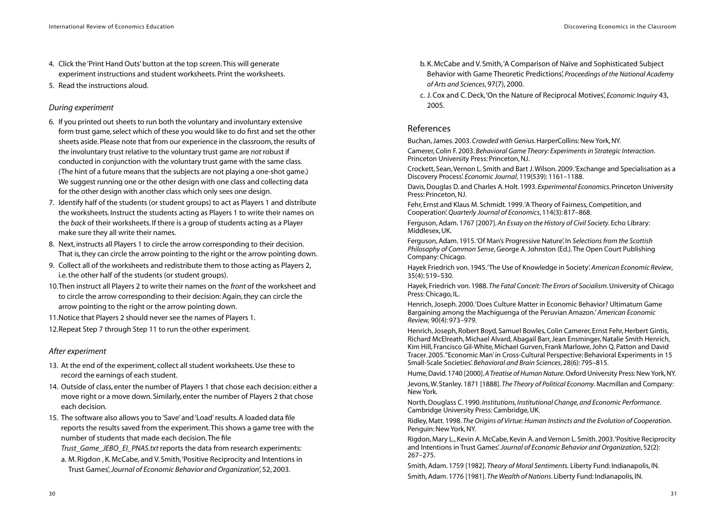- 4. Click the 'Print Hand Outs' button at the top screen.This will generate experiment instructions and student worksheets. Print the worksheets.
- 5. Read the instructions aloud.

#### *During experiment*

- 6. If you printed out sheets to run both the voluntary and involuntary extensive form trust game, select which of these you would like to do first and set the other sheets aside. Please note that from our experience in the classroom, the results of the involuntary trust relative to the voluntary trust game are *not* robust if conducted in conjunction with the voluntary trust game with the same class. (The hint of a future means that the subjects are not playing a one-shot game.) We suggest running one or the other design with one class and collecting data for the other design with another class which only sees one design.
- 7. Identify half of the students (or student groups) to act as Players 1 and distribute the worksheets. Instruct the students acting as Players 1 to write their names on the *back* of their worksheets. If there is a group of students acting as a Player make sure they all write their names.
- 8. Next, instructs all Players 1 to circle the arrow corresponding to their decision. That is, they can circle the arrow pointing to the right or the arrow pointing down.
- 9. Collect all of the worksheets and redistribute them to those acting as Players 2, i.e. the other half of the students (or student groups).
- 10.Then instruct all Players 2 to write their names on the *front* of the worksheet and to circle the arrow corresponding to their decision: Again, they can circle the arrow pointing to the right or the arrow pointing down.
- 11.Notice that Players 2 should never see the names of Players 1.
- 12.Repeat Step 7 through Step 11 to run the other experiment.

#### *After experiment*

- 13. At the end of the experiment, collect all student worksheets. Use these to record the earnings of each student.
- 14. Outside of class, enter the number of Players 1 that chose each decision: either a move right or a move down. Similarly, enter the number of Players 2 that chose each decision.
- 15. The software also allows you to 'Save' and 'Load' results. A loaded data file reports the results saved from the experiment.This shows a game tree with the number of students that made each decision.The file
	- *Trust Game JEBO EI PNAS.txt* reports the data from research experiments:
	- a. M. Rigdon , K. McCabe, and V. Smith,'Positive Reciprocity and Intentions in Trust Games',*Journal of Economic Behavior and Organization*', 52, 2003.
- b. K. McCabe and V. Smith,'A Comparison of Naïve and Sophisticated Subject Behavior with Game Theoretic Predictions', *Proceedings of the National Academy of Arts and Sciences*, 97(7), 2000.
- c. J. Cox and C. Deck,'On the Nature of Reciprocal Motives', *Economic Inquiry* 43, 2005.

# References

Buchan, James. 2003.*Crowded with Genius*. HarperCollins: New York, NY.

Camerer, Colin F. 2003. *Behavioral Game Theory: Experiments in Strategic Interaction*. Princeton University Press: Princeton, NJ.

Crockett, Sean, Vernon L. Smith and Bart J.Wilson. 2009.'Exchange and Specialisation as a Discovery Process'. *Economic Journal*, 119(539): 1161–1188.

Davis, Douglas D. and Charles A. Holt. 1993. *Experimental Economics*. Princeton University Press: Princeton, NJ.

Fehr, Ernst and Klaus M. Schmidt. 1999.'A Theory of Fairness, Competition, and Cooperation'.*Quarterly Journal of Economics*, 114(3): 817–868.

Ferguson, Adam. 1767 [2007].*An Essay on the History of Civil Society*. Echo Library: Middlesex, UK.

Ferguson, Adam. 1915.'Of Man's Progressive Nature'. In *Selections from the Scottish Philosophy of Common Sense*,George A. Johnston (Ed.).The Open Court Publishing Company: Chicago.

Hayek Friedrich von. 1945.'The Use of Knowledge in Society'.*American Economic Review*, 35(4): 519–530.

Hayek, Friedrich von. 1988. *The Fatal Conceit: The Errors of Socialism*. University of Chicago Press: Chicago, IL.

Henrich, Joseph. 2000.'Does Culture Matter in Economic Behavior? Ultimatum Game Bargaining among the Machiguenga of the Peruvian Amazon.'*American Economic Review,* 90(4): 973–979.

Henrich, Joseph, Robert Boyd, Samuel Bowles, Colin Camerer, Ernst Fehr, Herbert Gintis, Richard McElreath, Michael Alvard, Abagail Barr, Jean Ensminger, Natalie Smith Henrich, Kim Hill, Francisco Gil-White, Michael Gurven, Frank Marlowe, John Q. Patton and David Tracer. 2005.''Economic Man' in Cross-Cultural Perspective: Behavioral Experiments in 15 Small-Scale Societies'. *Behavioral and Brain Sciences*, 28(6): 795–815.

Hume, David. 1740 [2000].*ATreatise of Human Nature*. Oxford University Press: New York, NY.

Jevons, W. Stanley. 1871 [1888]. *The Theory of Political Economy*. Macmillan and Company: New York.

North, Douglass C. 1990. *Institutions, Institutional Change, and Economic Performance*. Cambridge University Press: Cambridge, UK.

Ridley, Matt. 1998. *The Origins of Virtue: Human Instincts and the Evolution of Cooperation*. Penguin: New York, NY.

Rigdon, Mary L., Kevin A. McCabe, Kevin A. and Vernon L. Smith. 2003.'Positive Reciprocity and Intentions in Trust Games'.*Journal of Economic Behavior and Organization*, 52(2): 267–275.

Smith, Adam. 1759 [1982]. *Theory of Moral Sentiments.* Liberty Fund: Indianapolis, IN. Smith, Adam. 1776 [1981]. *The Wealth of Nations*. Liberty Fund: Indianapolis, IN.